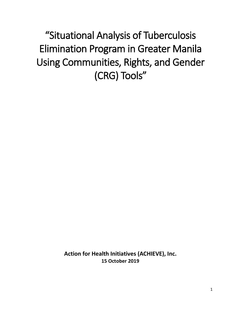"Situational Analysis of Tuberculosis Elimination Program in Greater Manila Using Communities, Rights, and Gender (CRG) Tools"

> **Action for Health Initiatives (ACHIEVE), Inc. 15 October 2019**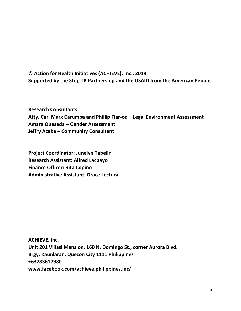## **© Action for Health Initiatives (ACHIEVE), Inc., 2019 Supported by the Stop TB Partnership and the USAID from the American People**

**Research Consultants: Atty. Carl Marx Carumba and Phillip Fiar-od – Legal Environment Assessment Amara Quesada – Gender Assessment Jeffry Acaba – Community Consultant**

**Project Coordinator: Junelyn Tabelin Research Assistant: Alfred Lacbayo Finance Officer: Rita Copino Administrative Assistant: Grace Lectura**

**ACHIEVE, Inc. Unit 201 Villasi Mansion, 160 N. Domingo St., corner Aurora Blvd. Brgy. Kaunlaran, Quezon City 1111 Philippines +63283617980 www.facebook.com/achieve.philippines.inc/**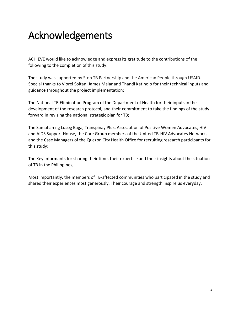## Acknowledgements

ACHIEVE would like to acknowledge and express its gratitude to the contributions of the following to the completion of this study:

The study was supported by Stop TB Partnership and the American People through USAID. Special thanks to Viorel Soltan, James Malar and Thandi Katlholo for their technical inputs and guidance throughout the project implementation;

The National TB Elimination Program of the Department of Health for their inputs in the development of the research protocol, and their commitment to take the findings of the study forward in revising the national strategic plan for TB;

The Samahan ng Lusog Baga, Transpinay Plus, Association of Positive Women Advocates, HIV and AIDS Support House, the Core Group members of the United TB-HIV Advocates Network, and the Case Managers of the Quezon City Health Office for recruiting research participants for this study;

The Key Informants for sharing their time, their expertise and their insights about the situation of TB in the Philippines;

Most importantly, the members of TB-affected communities who participated in the study and shared their experiences most generously. Their courage and strength inspire us everyday.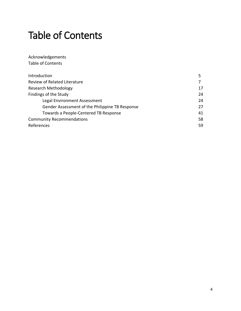## Table of Contents

Acknowledgements Table of Contents

| Introduction                                    |    |
|-------------------------------------------------|----|
| Review of Related Literature                    |    |
| Research Methodology                            | 17 |
| Findings of the Study                           | 24 |
| Legal Environment Assessment                    | 24 |
| Gender Assessment of the Philippine TB Response | 27 |
| Towards a People-Centered TB Response           | 41 |
| <b>Community Recommendations</b>                | 58 |
| References                                      | 59 |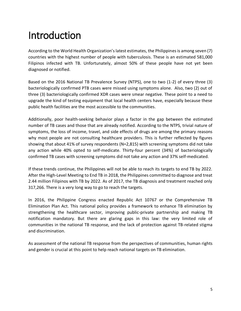# Introduction

According to the World Health Organization's latest estimates, the Philippines is among seven (7) countries with the highest number of people with tuberculosis. These is an estimated 581,000 Filipinos infected with TB. Unfortunately, almost 50% of these people have not yet been diagnosed or notified.

Based on the 2016 National TB Prevalence Survey (NTPS), one to two (1-2) of every three (3) bacteriologically confirmed PTB cases were missed using symptoms alone. Also, two (2) out of three (3) bacteriologically confirmed XDR cases were smear negative. These point to a need to upgrade the kind of testing equipment that local health centers have, especially because these public health facilities are the most accessible to the communities.

Additionally, poor health-seeking behavior plays a factor in the gap between the estimated number of TB cases and those that are already notified. According to the NTPS, trivial nature of symptoms, the loss of income, travel, and side effects of drugs are among the primary reasons why most people are not consulting healthcare providers. This is further reflected by figures showing that about 41% of survey respondents (N=2,815) with screening symptoms did not take any action while 40% opted to self-medicate. Thirty-four percent (34%) of bacteriologically confirmed TB cases with screening symptoms did not take any action and 37% self-medicated.

If these trends continue, the Philippines will not be able to reach its targets to end TB by 2022. After the High-Level Meeting to End TB in 2018, the Philippines committed to diagnose and treat 2.44 million Filipinos with TB by 2022. As of 2017, the TB diagnosis and treatment reached only 317,266. There is a very long way to go to reach the targets.

In 2016, the Philippine Congress enacted Republic Act 10767 or the Comprehensive TB Elimination Plan Act. This national policy provides a framework to enhance TB elimination by strengthening the healthcare sector, improving public-private partnership and making TB notification mandatory. But there are glaring gaps in this law: the very limited role of communities in the national TB response, and the lack of protection against TB-related stigma and discrimination.

As assessment of the national TB response from the perspectives of communities, human rights and gender is crucial at this point to help reach national targets on TB elimination.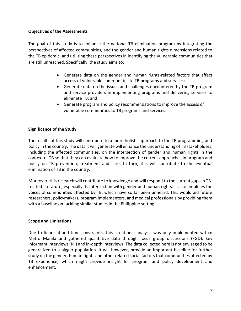### **Objectives of the Assessments**

The goal of this study is to enhance the national TB elimination program by integrating the perspectives of affected communities, and the gender and human rights dimensions related to the TB epidemic, and utilizing these perspectives in identifying the vulnerable communities that are still unreached. Specifically, the study aims to:

- Generate data on the gender and human rights-related factors that affect access of vulnerable communities to TB programs and services;
- Generate data on the issues and challenges encountered by the TB program and service providers in implementing programs and delivering services to eliminate TB; and
- Generate program and policy recommendations to improve the access of vulnerable communities to TB programs and services.

## **Significance of the Study**

The results of this study will contribute to a more holistic approach to the TB programming and policy in the country. The data it will generate will enhance the understanding of TB stakeholders, including the affected communities, on the intersection of gender and human rights in the context of TB so that they can evaluate how to improve the current approaches in program and policy on TB prevention, treatment and care. In turn, this will contribute to the eventual elimination of TB in the country.

Moreover, this research will contribute to knowledge and will respond to the current gaps in TBrelated literature, especially its intersection with gender and human rights. It also amplifies the voices of communities affected by TB, which have so far been unheard. This would aid future researchers, policymakers, program implementers, and medical professionals by providing them with a baseline on tackling similar studies in the Philippine setting.

## **Scope and Limitations**

Due to financial and time constraints, this situational analysis was only implemented within Metro Manila and gathered qualitative data through focus group discussions (FGD), key informant interviews (KII) and in-depth interviews. The data collected here is not envisaged to be generalized to a bigger population. It will however, provide an important baseline for further study on the gender, human rights and other related social factors that communities affected by TB experience, which might provide insight for program and policy development and enhancement.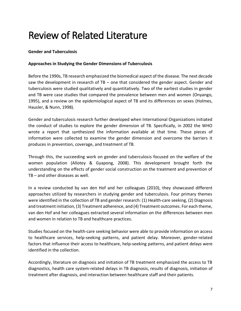## Review of Related Literature

## **Gender and Tuberculosis**

## **Approaches in Studying the Gender Dimensions of Tuberculosis**

Before the 1990s, TB research emphasized the biomedical aspect of the disease. The next decade saw the development in research of TB – one that considered the gender aspect. Gender and tuberculosis were studied qualitatively and quantitatively. Two of the earliest studies in gender and TB were case studies that compared the prevalence between men and women (Onyango, 1995), and a review on the epidemiological aspect of TB and its differences on sexes (Holmes, Hausler, & Nunn, 1998).

Gender and tuberculosis research further developed when International Organizations initiated the conduct of studies to explore the gender dimension of TB. Specifically, in 2002 the WHO wrote a report that synthesized the information available at that time. These pieces of information were collected to examine the gender dimension and overcome the barriers it produces in prevention, coverage, and treatment of TB.

Through this, the succeeding work on gender and tuberculosis focused on the welfare of the women population (Allotey & Gyapong, 2008). This development brought forth the understanding on the effects of gender social construction on the treatment and prevention of TB – and other diseases as well.

In a review conducted by van den Hof and her colleagues (2010), they showcased different approaches utilized by researchers in studying gender and tuberculosis. Four primary themes were identified in the collection of TB and gender research: (1) Health-care seeking, (2) Diagnosis and treatment initiation, (3) Treatment adherence, and (4) Treatment outcomes. For each theme, van den Hof and her colleagues extracted several information on the differences between men and women in relation to TB and healthcare practices.

Studies focused on the health-care seeking behavior were able to provide information on access to healthcare services, help-seeking patterns, and patient delay. Moreover, gender-related factors that influence their access to healthcare, help-seeking patterns, and patient delays were identified in the collection.

Accordingly, literature on diagnosis and initiation of TB treatment emphasized the access to TB diagnostics, health care system-related delays in TB diagnosis, results of diagnosis, initiation of treatment after diagnosis, and interaction between healthcare staff and their patients.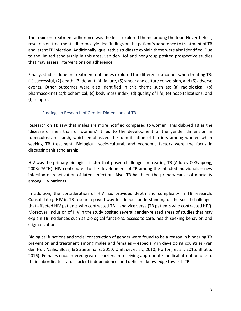The topic on treatment adherence was the least explored theme among the four. Nevertheless, research on treatment adherence yielded findings on the patient's adherence to treatment of TB and latent TB infection. Additionally, qualitative studies to explain these were also identified. Due to the limited scholarship in this area, van den Hof and her group posited prospective studies that may assess interventions on adherence.

Finally, studies done on treatment outcomes explored the different outcomes when treating TB: (1) successful, (2) death, (3) default, (4) failure, (5) smear and culture conversion, and (6) adverse events. Other outcomes were also identified in this theme such as: (a) radiological, (b) pharmacokinetics/biochemical, (c) body mass index, (d) quality of life, (e) hospitalizations, and (f) relapse.

## Findings in Research of Gender Dimensions of TB

Research on TB saw that males are more notified compared to women. This dubbed TB as the 'disease of men than of women.' It led to the development of the gender dimension in tuberculosis research, which emphasized the identification of barriers among women when seeking TB treatment. Biological, socio-cultural, and economic factors were the focus in discussing this scholarship.

HIV was the primary biological factor that posed challenges in treating TB (Allotey & Gyapong, 2008; PATH). HIV contributed to the development of TB among the infected individuals – new infection or reactivation of latent infection. Also, TB has been the primary cause of mortality among HIV patients.

In addition, the consideration of HIV has provided depth and complexity in TB research. Consolidating HIV in TB research paved way for deeper understanding of the social challenges that affected HIV patients who contracted TB – and vice versa (TB patients who contracted HIV). Moreover, inclusion of HIV in the study posited several gender-related areas of studies that may explain TB incidences such as biological functions, access to care, health seeking behavior, and stigmatization.

Biological functions and social construction of gender were found to be a reason in hindering TB prevention and treatment among males and females – especially in developing countries (van den Hof, Najlis, Bloss, & Straetemans, 2010; Onifade, et al., 2010; Horton, et al., 2016; Bhutia, 2016). Females encountered greater barriers in receiving appropriate medical attention due to their subordinate status, lack of independence, and deficient knowledge towards TB.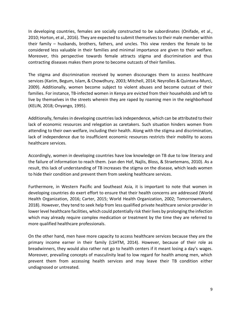In developing countries, females are socially constructed to be subordinates (Onifade, et al., 2010; Horton, et al., 2016). They are expected to submit themselves to their male member within their family – husbands, brothers, fathers, and uncles. This view renders the female to be considered less valuable in their families and minimal importance are given to their welfare. Moreover, this perspective towards female attracts stigma and discrimination and thus contracting diseases makes them prone to become outcasts of their families.

The stigma and discrimination received by women discourages them to access healthcare services (Karim, Begum, Islam, & Chowdhury, 2003; Mitchell, 2014; Neyrolles & Quintana-Murci, 2009). Additionally, women become subject to violent abuses and become outcast of their families. For instance, TB-infected women in Kenya are evicted from their households and left to live by themselves in the streets wherein they are raped by roaming men in the neighborhood (KELIN, 2018; Onyango, 1995).

Additionally, females in developing countries lack independence, which can be attributed to their lack of economic resources and relegation as caretakers. Such situation hinders women from attending to their own welfare, including their health. Along with the stigma and discrimination, lack of independence due to insufficient economic resources restricts their mobility to access healthcare services.

Accordingly, women in developing countries have low knowledge on TB due to low literacy and the failure of information to reach them. (van den Hof, Najlis, Bloss, & Straetemans, 2010). As a result, this lack of understanding of TB increases the stigma on the disease, which leads women to hide their condition and prevent them from seeking healthcare services.

Furthermore, in Western Pacific and Southeast Asia, it is important to note that women in developing countries do exert effort to ensure that their health concerns are addressed (World Health Organization, 2016; Carter, 2015; World Health Organization, 2002; Tomorrowmakers, 2018). However, they tend to seek help from less qualified private healthcare service provider in lower level healthcare facilities, which could potentially risk their lives by prolonging the infection which may already require complex medication or treatment by the time they are referred to more qualified healthcare professionals.

On the other hand, men have more capacity to access healthcare services because they are the primary income earner in their family (LSHTM, 2014). However, because of their role as breadwinners, they would also rather not go to health centers if it meant losing a day's wages. Moreover, prevailing concepts of masculinity lead to low regard for health among men, which prevent them from accessing health services and may leave their TB condition either undiagnosed or untreated.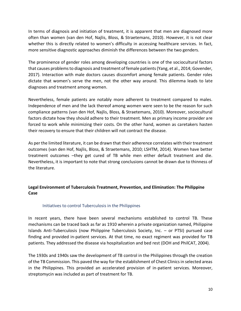In terms of diagnosis and initiation of treatment, it is apparent that men are diagnosed more often than women (van den Hof, Najlis, Bloss, & Straetemans, 2010). However, it is not clear whether this is directly related to women's difficulty in accessing healthcare services. In fact, more sensitive diagnostic approaches diminish the differences between the two genders.

The prominence of gender roles among developing countries is one of the sociocultural factors that causes problems to diagnosis and treatment of female patients (Yang, et al., 2014; Govender, 2017). Interaction with male doctors causes discomfort among female patients. Gender roles dictate that women's serve the men, not the other way around. This dilemma leads to late diagnoses and treatment among women.

Nevertheless, female patients are notably more adherent to treatment compared to males. Independence of men and the lack thereof among women were seen to be the reason for such compliance patterns (van den Hof, Najlis, Bloss, & Straetemans, 2010). Moreover, sociocultural factors dictate how they should adhere to their treatment. Men as primary income provider are forced to work while minimizing their costs. On the other hand, women as caretakers hasten their recovery to ensure that their children will not contract the disease.

As per the limited literature, it can be drawn that their adherence correlates with their treatment outcomes (van den Hof, Najlis, Bloss, & Straetemans, 2010; LSHTM, 2014). Women have better treatment outcomes –they get cured of TB while men either default treatment and die. Nevertheless, it is important to note that strong conclusions cannot be drawn due to thinness of the literature.

## **Legal Environment of Tuberculosis Treatment, Prevention, and Elimination: The Philippine Case**

## Initiatives to control Tuberculosis in the Philippines

In recent years, there have been several mechanisms established to control TB. These mechanisms can be traced back as far as 1910 wherein a private organization named, Philippine Islands Anti-Tuberculosis (now Philippine Tuberculosis Society, Inc. – or PTSI) pursued case finding and provided in-patient services. At that time, no exact regiment was provided for TB patients. They addressed the disease via hospitalization and bed rest (DOH and PhilCAT, 2004).

The 1930s and 1940s saw the development of TB control in the Philippines through the creation of the TB Commission. This paved the way for the establishment of Chest Clinics in selected areas in the Philippines. This provided an accelerated provision of in-patient services. Moreover, streptomycin was included as part of treatment for TB.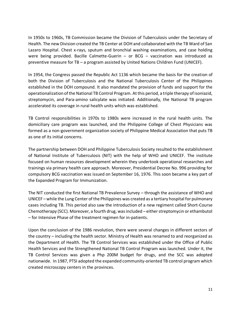In 1950s to 1960s, TB Commission became the Division of Tuberculosis under the Secretary of Health. The new Division created the TB Center at DOH and collaborated with the TB Ward of San Lazaro Hospital. Chest x-rays, sputum and bronchial washing examinations, and case holding were being provided. Bacille Calmette-Guerin – or BCG – vaccination was introduced as preventive measure for TB – a program assisted by United Nations Children Fund (UNICEF).

In 1954, the Congress passed the Republic Act 1136 which became the basis for the creation of both the Division of Tuberculosis and the National Tuberculosis Center of the Philippines established in the DOH compound. It also mandated the provision of funds and support for the operationalization of the National TB Control Program. At this period, a triple therapy of isoniazid, streptomycin, and Para-amino salicylate was initiated. Additionally, the National TB program accelerated its coverage in rural health units which was established.

TB Control responsibilities in 1970s to 1980s were increased in the rural health units. The domiciliary care program was launched, and the Philippine College of Chest Physicians was formed as a non-government organization society of Philippine Medical Association that puts TB as one of its initial concerns.

The partnership between DOH and Philippine Tuberculosis Society resulted to the establishment of National Institute of Tuberculosis (NIT) with the help of WHO and UNICEF. The institute focused on human resources development wherein they undertook operational researches and trainings via primary health care approach. Moreover, Presidential Decree No. 996 providing for compulsory BCG vaccination was issued on September 16, 1976. This soon became a key part of the Expanded Program for Immunization.

The NIT conducted the first National TB Prevalence Survey – through the assistance of WHO and UNICEF – while the Lung Center of the Philippines was created as a tertiary hospital for pulmonary cases including TB. This period also saw the introduction of a new regiment called Short-Course Chemotherapy (SCC). Moreover, a fourth drug, was included – either streptomycin or ethambutol – for Intensive Phase of the treatment regimen for in-patients.

Upon the conclusion of the 1986 revolution, there were several changes in different sectors of the country – including the health sector. Ministry of Health was renamed to and reorganized as the Department of Health. The TB Control Services was established under the Office of Public Health Services and the Strengthened National TB Control Program was launched. Under it, the TB Control Services was given a Php 200M budget for drugs, and the SCC was adopted nationwide. In 1987, PTSI adopted the expanded community-oriented TB control program which created microscopy centers in the provinces.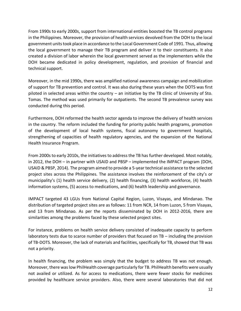From 1990s to early 2000s, support from international entities boosted the TB control programs in the Philippines. Moreover, the provision of health services devolved from the DOH to the local government units took place in accordance to the Local Government Code of 1991. Thus, allowing the local government to manage their TB program and deliver it to their constituents. It also created a division of labor wherein the local government served as the implementers while the DOH became dedicated in policy development, regulation, and provision of financial and technical support.

Moreover, in the mid 1990s, there was amplified national awareness campaign and mobilization of support for TB prevention and control. It was also during these years when the DOTS was first piloted in selected areas within the country – an initiative by the TB clinic of University of Sto. Tomas. The method was used primarily for outpatients. The second TB prevalence survey was conducted during this period.

Furthermore, DOH reformed the health sector agenda to improve the delivery of health services in the country. The reform included the funding for priority public health programs, promotion of the development of local health systems, fiscal autonomy to government hospitals, strengthening of capacities of health regulatory agencies, and the expansion of the National Health Insurance Program.

From 2000s to early 2010s, the initiatives to address the TB has further developed. Most notably, in 2012, the DOH – in partner with USAID and PBSP – implemented the IMPACT program (DOH, USAID & PBSP, 2014). The program aimed to provide a 5-year technical assistance to the selected project sites across the Philippines. The assistance involves the reinforcement of the city's or municipality's (1) health service delivery, (2) health financing, (3) health workforce, (4) health information systems, (5) access to medications, and (6) health leadership and governance.

IMPACT targeted 43 LGUs from National Capital Region, Luzon, Visayas, and Mindanao. The distribution of targeted project sites are as follows: 11 from NCR, 14 from Luzon, 5 from Visayas, and 13 from Mindanao. As per the reports disseminated by DOH in 2012-2016, there are similarities among the problems faced by these selected project sites.

For instance, problems on health service delivery consisted of inadequate capacity to perform laboratory tests due to scarce number of providers that focused on TB – including the provision of TB-DOTS. Moreover, the lack of materials and facilities, specifically for TB, showed that TB was not a priority.

In health financing, the problem was simply that the budget to address TB was not enough. Moreover, there was low PhilHealth coverage particularly for TB. PhilHealth benefits were usually not availed or utilized. As for access to medications, there were fewer stocks for medicines provided by healthcare service providers. Also, there were several laboratories that did not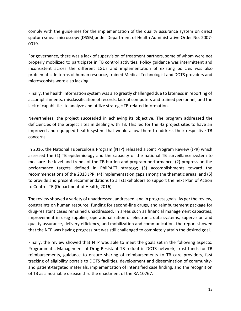comply with the guidelines for the implementation of the quality assurance system on direct sputum smear microscopy (DSSM)under Department of Health Administrative Order No. 2007- 0019.

For governance, there was a lack of supervision of treatment partners, some of whom were not properly mobilized to participate in TB control activities. Policy guidance was intermittent and inconsistent across the different LGUs and implementation of existing policies was also problematic. In terms of human resource, trained Medical Technologist and DOTS providers and microscopists were also lacking.

Finally, the health information system was also greatly challenged due to lateness in reporting of accomplishments, misclassification of records, lack of computers and trained personnel, and the lack of capabilities to analyze and utilize strategic TB-related information.

Nevertheless, the project succeeded in achieving its objective. The program addressed the deficiencies of the project sites in dealing with TB. This led for the 43 project sites to have an improved and equipped health system that would allow them to address their respective TB concerns.

In 2016, the National Tuberculosis Program (NTP) released a Joint Program Review (JPR) which assessed the (1) TB epidemiology and the capacity of the national TB surveillance system to measure the level and trends of the TB burden and program performance; (2) progress on the performance targets defined in PhilPACT strategy; (3) accomplishments toward the recommendations of the 2013 JPR; (4) implementation gaps among the thematic areas; and (5) to provide and present recommendations to all stakeholders to support the next Plan of Action to Control TB (Department of Health, 2016).

The review showed a variety of unaddressed, addressed, and in progress goals. As per the review, constraints on human resource, funding for second-line drugs, and reimbursement package for drug-resistant cases remained unaddressed. In areas such as financial management capacities, improvement in drug supplies, operationalization of electronic data systems, supervision and quality assurance, delivery efficiency, and mobilization and communication, the report showed that the NTP was having progress but was still challenged to completely attain the desired goal.

Finally, the review showed that NTP was able to meet the goals set in the following aspects: Programmatic Management of Drug Resistant TB rollout in DOTS network, trust funds for TB reimbursements, guidance to ensure sharing of reimbursements to TB care providers, fast tracking of eligibility portals to DOTS facilities, development and dissemination of communityand patient-targeted materials, implementation of intensified case finding, and the recognition of TB as a notifiable disease thru the enactment of the RA 10767.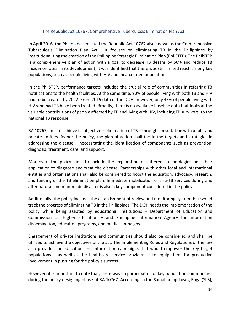## The Republic Act 10767: Comprehensive Tuberculosis Elimination Plan Act

In April 2016, the Philippines enacted the Republic Act 10767, also known as the Comprehensive Tuberculosis Elimination Plan Act. It focuses on eliminating TB in the Philippines by institutionalizing the creation of the Philippine Strategic Elimination Plan (PhilSTEP). The PhilSTEP is a comprehensive plan of action with a goal to decrease TB deaths by 50% and reduce TB incidence rates. In its development, it was identified that there was still limited reach among key populations, such as people living with HIV and incarcerated populations.

In the PhilSTEP, performance targets included the crucial role of communities in referring TB notifications to the health facilities. At the same time, 90% of people living with both TB and HIV had to be treated by 2022. From 2015 data of the DOH, however, only 43% of people living with HIV who had TB have been treated. Broadly, there is no available baseline data that looks at the valuable contributions of people affected by TB and living with HIV, including TB survivors, to the national TB response.

RA 10767 aims to achieve its objective – elimination of TB – through consultation with public and private entities. As per the policy, the plan of action shall tackle the targets and strategies in addressing the disease – necessitating the identification of components such as prevention, diagnosis, treatment, care, and support.

Moreover, the policy aims to include the exploration of different technologies and their application to diagnose and treat the disease. Partnerships with other local and international entities and organizations shall also be considered to boost the education, advocacy, research, and funding of the TB elimination plan. Immediate mobilization of anti-TB services during and after natural and man-made disaster is also a key component considered in the policy.

Additionally, the policy includes the establishment of review and monitoring system that would track the progress of eliminating TB in the Philippines. The DOH heads the implementation of the policy while being assisted by educational institutions – Department of Education and Commission on Higher Education – and Philippine Information Agency for information dissemination, education programs, and media campaigns

Engagement of private institutions and communities should also be considered and shall be utilized to achieve the objectives of the act. The Implementing Rules and Regulations of the law also provides for education and information campaigns that would empower the key target populations – as well as the healthcare service providers – to equip them for productive involvement in pushing for the policy's success.

However, it is important to note that, there was no participation of key population communities during the policy designing phase of RA 10767. According to the Samahan ng Lusog Baga (SLB),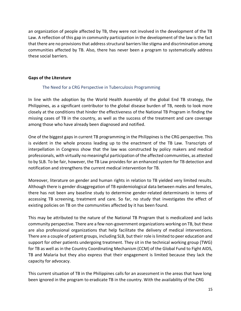an organization of people affected by TB, they were not involved in the development of the TB Law. A reflection of this gap in community participation in the development of the law is the fact that there are no provisions that address structural barriers like stigma and discrimination among communities affected by TB. Also, there has never been a program to systematically address these social barriers.

## **Gaps of the Literature**

### The Need for a CRG Perspective in Tuberculosis Programming

In line with the adoption by the World Health Assembly of the global End TB strategy, the Philippines, as a significant contributor to the global disease burden of TB, needs to look more closely at the conditions that hinder the effectiveness of the National TB Program in finding the missing cases of TB in the country, as well as the success of the treatment and care coverage among those who have already been diagnosed and notified.

One of the biggest gaps in current TB programming in the Philippines is the CRG perspective. This is evident in the whole process leading up to the enactment of the TB Law. Transcripts of interpellation in Congress show that the law was constructed by policy makers and medical professionals, with virtually no meaningful participation of the affected communities, as attested to by SLB. To be fair, however, the TB Law provides for an enhanced system for TB detection and notification and strengthens the current medical intervention for TB.

Moreover, literature on gender and human rights in relation to TB yielded very limited results. Although there is gender disaggregation of TB epidemiological data between males and females, there has not been any baseline study to determine gender-related determinants in terms of accessing TB screening, treatment and care. So far, no study that investigates the effect of existing policies on TB on the communities affected by it has been found.

This may be attributed to the nature of the National TB Program that is medicalized and lacks community perspective. There are a few non-government organizations working on TB, but these are also professional organizations that help facilitate the delivery of medical interventions. There are a couple of patient groups, including SLB, but their role is limited to peer education and support for other patients undergoing treatment. They sit in the technical working group (TWG) for TB as well as in the Country Coordinating Mechanism (CCM) of the Global Fund to Fight AIDS, TB and Malaria but they also express that their engagement is limited because they lack the capacity for advocacy.

This current situation of TB in the Philippines calls for an assessment in the areas that have long been ignored in the program to eradicate TB in the country. With the availability of the CRG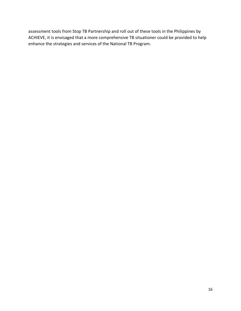assessment tools from Stop TB Partnership and roll out of these tools in the Philippines by ACHIEVE, it is envisaged that a more comprehensive TB situationer could be provided to help enhance the strategies and services of the National TB Program.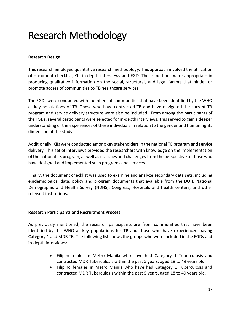# Research Methodology

### **Research Design**

This research employed qualitative research methodology. This approach involved the utilization of document checklist, KII, in-depth interviews and FGD. These methods were appropriate in producing qualitative information on the social, structural, and legal factors that hinder or promote access of communities to TB healthcare services.

The FGDs were conducted with members of communities that have been identified by the WHO as key populations of TB. Those who have contracted TB and have navigated the current TB program and service delivery structure were also be included. From among the participants of the FGDs, several participants were selected for in-depth interviews. This served to gain a deeper understanding of the experiences of these individuals in relation to the gender and human rights dimension of the study.

Additionally, KIIs were conducted among key stakeholders in the national TB program and service delivery. This set of interviews provided the researchers with knowledge on the implementation of the national TB program, as well as its issues and challenges from the perspective of those who have designed and implemented such programs and services.

Finally, the document checklist was used to examine and analyze secondary data sets, including epidemiological data, policy and program documents that available from the DOH, National Demographic and Health Survey (NDHS), Congress, Hospitals and health centers, and other relevant institutions.

#### **Research Participants and Recruitment Process**

As previously mentioned, the research participants are from communities that have been identified by the WHO as key populations for TB and those who have experienced having Category 1 and MDR TB. The following list shows the groups who were included in the FGDs and in-depth interviews:

- Filipino males in Metro Manila who have had Category 1 Tuberculosis and contracted MDR Tuberculosis within the past 5 years, aged 18 to 49 years old.
- Filipino females in Metro Manila who have had Category 1 Tuberculosis and contracted MDR Tuberculosis within the past 5 years, aged 18 to 49 years old.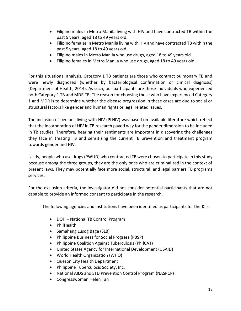- Filipino males in Metro Manila living with HIV and have contracted TB within the past 5 years, aged 18 to 49 years old.
- Filipino females in Metro Manila living with HIV and have contracted TB within the past 5 years, aged 18 to 49 years old.
- Filipino males in Metro Manila who use drugs, aged 18 to 49 years old.
- Filipino females in Metro Manila who use drugs, aged 18 to 49 years old.

For this situational analysis, Category 1 TB patients are those who contract pulmonary TB and were newly diagnosed (whether by bacteriological confirmation or clinical diagnosis) (Department of Health, 2014). As such, our participants are those individuals who experienced both Category 1 TB and MDR TB. The reason for choosing those who have experienced Category 1 and MDR is to determine whether the disease progression in these cases are due to social or structural factors like gender and human rights or legal related issues.

The inclusion of persons living with HIV (PLHIV) was based on available literature which reflect that the incorporation of HIV in TB research paved way for the gender dimension to be included in TB studies. Therefore, hearing their sentiments are important in discovering the challenges they face in treating TB and sensitizing the current TB prevention and treatment program towards gender and HIV.

Lastly, people who use drugs (PWUD) who contracted TB were chosen to participate in this study because among the three groups, they are the only ones who are criminalized in the context of present laws. They may potentially face more social, structural, and legal barriers TB programs services.

For the exclusion criteria, the investigator did not consider potential participants that are not capable to provide an informed consent to participate in the research.

The following agencies and institutions have been identified as participants for the KIIs:

- DOH National TB Control Program
- PhilHealth
- Samahang Lusog Baga (SLB)
- Philippine Business for Social Progress (PBSP)
- Philippine Coalition Against Tuberculosis (PhilCAT)
- United States Agency for International Development (USAID)
- World Health Organization (WHO)
- Quezon City Health Department
- Philippine Tuberculosis Society, Inc.
- National AIDS and STD Prevention Control Program (NASPCP)
- Congresswoman Helen Tan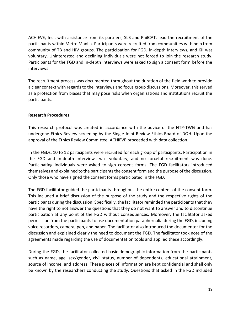ACHIEVE, Inc., with assistance from its partners, SLB and PhilCAT, lead the recruitment of the participants within Metro Manila. Participants were recruited from communities with help from community of TB and HIV groups. The participation for FGD, in-depth interviews, and KII was voluntary. Uninterested and declining individuals were not forced to join the research study. Participants for the FGD and in-depth interviews were asked to sign a consent form before the interviews.

The recruitment process was documented throughout the duration of the field work to provide a clear context with regards to the interviews and focus group discussions. Moreover, this served as a protection from biases that may pose risks when organizations and institutions recruit the participants.

### **Research Procedures**

This research protocol was created in accordance with the advice of the NTP-TWG and has undergone Ethics Review screening by the Single Joint Review Ethics Board of DOH. Upon the approval of the Ethics Review Committee, ACHIEVE proceeded with data collection.

In the FGDs, 10 to 12 participants were recruited for each group of participants. Participation in the FGD and in-depth interviews was voluntary, and no forceful recruitment was done. Participating individuals were asked to sign consent forms. The FGD facilitators introduced themselves and explained to the participants the consent form and the purpose of the discussion. Only those who have signed the consent forms participated in the FGD.

The FGD facilitator guided the participants throughout the entire content of the consent form. This included a brief discussion of the purpose of the study and the respective rights of the participants during the discussion. Specifically, the facilitator reminded the participants that they have the right to not answer the questions that they do not want to answer and to discontinue participation at any point of the FGD without consequences. Moreover, the facilitator asked permission from the participants to use documentation paraphernalia during the FGD, including voice recorders, camera, pen, and paper. The facilitator also introduced the documenter for the discussion and explained clearly the need to document the FGD. The facilitator took note of the agreements made regarding the use of documentation tools and applied these accordingly.

During the FGD, the facilitator collected basic demographic information from the participants such as name, age, sex/gender, civil status, number of dependents, educational attainment, source of income, and address. These pieces of information are kept confidential and shall only be known by the researchers conducting the study. Questions that asked in the FGD included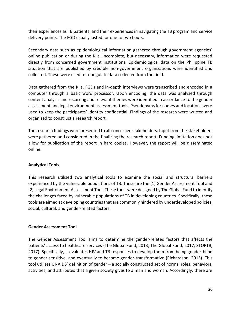their experiences as TB patients, and their experiences in navigating the TB program and service delivery points. The FGD usually lasted for one to two hours.

Secondary data such as epidemiological information gathered through government agencies' online publication or during the KIIs. Incomplete, but necessary, information were requested directly from concerned government institutions. Epidemiological data on the Philippine TB situation that are published by credible non-government organizations were identified and collected. These were used to triangulate data collected from the field.

Data gathered from the KIIs, FGDs and in-depth interviews were transcribed and encoded in a computer through a basic word processor. Upon encoding, the data was analyzed through content analysis and recurring and relevant themes were identified in accordance to the gender assessment and legal environment assessment tools. Pseudonyms for names and locations were used to keep the participants' identity confidential. Findings of the research were written and organized to construct a research report.

The research findings were presented to all concerned stakeholders. Input from the stakeholders were gathered and considered in the finalizing the research report. Funding limitation does not allow for publication of the report in hard copies. However, the report will be disseminated online.

## **Analytical Tools**

This research utilized two analytical tools to examine the social and structural barriers experienced by the vulnerable populations of TB. These are the (1) Gender Assessment Tool and (2) Legal Environment Assessment Tool. These tools were designed by The Global Fund to identify the challenges faced by vulnerable populations of TB in developing countries. Specifically, these tools are aimed at developing countries that are commonly hindered by underdeveloped policies, social, cultural, and gender-related factors.

#### **Gender Assessment Tool**

The Gender Assessment Tool aims to determine the gender-related factors that affects the patients' access to healthcare services (The Global Fund, 2013; The Global Fund, 2017; STOPTB, 2017). Specifically, it evaluates HIV and TB responses to develop them from being gender-blind to gender-sensitive, and eventually to become gender-transformative (Richardson, 2015). This tool utilizes UNAIDS' definition of gender – a socially constructed set of norms, roles, behaviors, activities, and attributes that a given society gives to a man and woman. Accordingly, there are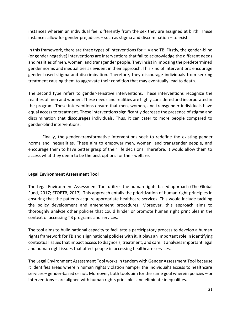instances wherein an individual feel differently from the sex they are assigned at birth. These instances allow for gender prejudices – such as stigma and discrimination – to exist.

In this framework, there are three types of interventions for HIV and TB. Firstly, the gender-blind (or gender negative) interventions are interventions that fail to acknowledge the different needs and realities of men, women, and transgender people. They insist in imposing the predetermined gender norms and inequalities as evident in their approach. This kind of interventions encourage gender-based stigma and discrimination. Therefore, they discourage individuals from seeking treatment causing them to aggravate their condition that may eventually lead to death.

The second type refers to gender-sensitive interventions. These interventions recognize the realities of men and women. These needs and realities are highly considered and incorporated in the program. These interventions ensure that men, women, and transgender individuals have equal access to treatment. These interventions significantly decrease the presence of stigma and discrimination that discourages individuals. Thus, it can cater to more people compared to gender-blind interventions.

Finally, the gender-transformative interventions seek to redefine the existing gender norms and inequalities. These aim to empower men, women, and transgender people, and encourage them to have better grasp of their life decisions. Therefore, it would allow them to access what they deem to be the best options for their welfare.

## **Legal Environment Assessment Tool**

The Legal Environment Assessment Tool utilizes the human rights-based approach (The Global Fund, 2017; STOPTB, 2017). This approach entails the prioritization of human right principles in ensuring that the patients acquire appropriate healthcare services. This would include tackling the policy development and amendment procedures. Moreover, this approach aims to thoroughly analyze other policies that could hinder or promote human right principles in the context of accessing TB programs and services.

The tool aims to build national capacity to facilitate a participatory process to develop a human rights framework for TB and align national policies with it. It plays an important role in identifying contextual issues that impact access to diagnosis, treatment, and care. It analyzes important legal and human right issues that affect people in accessing healthcare services.

The Legal Environment Assessment Tool works in tandem with Gender Assessment Tool because it identifies areas wherein human rights violation hamper the individual's access to healthcare services – gender-based or not. Moreover, both tools aim for the same goal wherein policies – or interventions – are aligned with human rights principles and eliminate inequalities.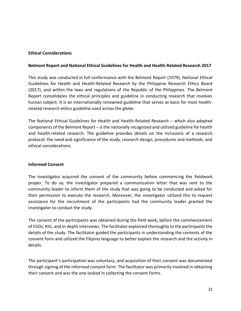## **Ethical Considerations**

#### **Belmont Report and National Ethical Guidelines for Health and Health-Related Research 2017**

This study was conducted in full conformance with the Belmont Report (1979), National Ethical Guidelines for Health and Health-Related Research by the Philippine Research Ethics Board (2017), and within the laws and regulations of the Republic of the Philippines. The Belmont Report consolidates the ethical principles and guideline in conducting research that involves human subject. It is an internationally renowned guideline that serves as basis for most healthrelated research ethics guideline used across the globe.

The National Ethical Guidelines for Health and Health-Related Research – which also adopted components of the Belmont Report – is the nationally recognized and utilized guideline for health and health-related research. The guideline provides details on the inclusions of a research protocol: the need and significance of the study, research design, procedures and methods, and ethical considerations.

#### **Informed Consent**

The investigator acquired the consent of the community before commencing the fieldwork proper. To do so, the investigator prepared a communication letter that was sent to the community leader to inform them of the study that was going to be conducted and asked for their permission to execute the research. Moreover, the investigator utilized this to request assistance for the recruitment of the participants had the community leader granted the investigator to conduct the study.

The consent of the participants was obtained during the field work, before the commencement of FGDs, KIIs, and in-depth interviews. The facilitator explained thoroughly to the participants the details of the study. The facilitator guided the participants in understanding the contents of the consent form and utilized the Filipino language to better explain the research and the activity in details.

The participant's participation was voluntary, and acquisition of their consent was documented through signing of the informed consent form. The facilitator was primarily involved in obtaining their consent and was the one tasked in collecting the consent forms.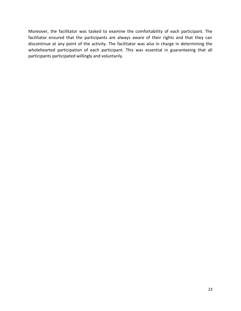Moreover, the facilitator was tasked to examine the comfortability of each participant. The facilitator ensured that the participants are always aware of their rights and that they can discontinue at any point of the activity. The facilitator was also in charge in determining the wholehearted participation of each participant. This was essential in guaranteeing that all participants participated willingly and voluntarily.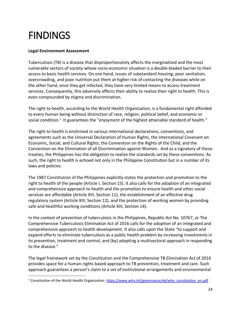# FINDINGS

## **Legal Environment Assessment**

Tuberculosis (TB) is a disease that disproportionately affects the marginalized and the most vulnerable sectors of society whose socio-economic situation is a double-bladed barrier to their access to basic health services. On one hand, issues of substandard housing, poor sanitation, overcrowding, and poor nutrition put them at higher risk of contacting the diseases while on the other hand, once they get infected, they have very limited means to access treatment services. Consequently, this adversely affects their ability to realize their right to health. This is even compounded by stigma and discrimination.

The right to health, according to the World Health Organization, is a fundamental right afforded to every human being without distinction of race, religion, political belief, and economic or social condition.<sup>1</sup> It guarantees the "enjoyment of the highest attainable standard of health."

The right to health is enshrined in various international declarations, conventions, and agreements such as the Universal Declaration of Human Rights, the International Covenant on Economic, Social, and Cultural Rights, the Convention on the Rights of the Child, and the Convention on the Elimination of all Discrimination against Women. And as a signatory of these treaties, the Philippines has the obligation to realize the standards set by these conventions. As such, the right to health is echoed not only in the Philippine Constitution but in a number of its laws and policies.

The 1987 Constitution of the Philippines explicitly states the protection and promotion to the right to health of the people (Article I, Section 15). It also calls for the adoption of an integrated and comprehensive approach to health and the promotion to ensure health and other social services are affordable (Article XIII, Section 11), the establishment of an effective drug regulatory system (Article XIII, Section 12), and the protection of working women by providing safe and healthful working conditions (Article XIII, Section 14).

In the context of prevention of tuberculosis in the Philippines, Republic Act No. 10767, or The Comprehensive Tuberculosis Elimination Act of 2016 calls for the adoption of an integrated and comprehensive approach to health development. It also calls upon the State "to support and expand efforts to eliminate tuberculosis as a public health problem by increasing investments in its prevention, treatment and control, and (by) adopting a multisectoral approach in responding to the disease."

The legal framework set by the Constitution and the Comprehensive TB Elimination Act of 2016 provides space for a human-rights based approach to TB prevention, treatment and care. Such approach guarantees a person's claim to a set of institutional arrangements and environmental

<sup>&</sup>lt;sup>1</sup> Constitution of the World Health Organization. [https://www.who.int/governance/eb/who\\_constitution\\_en.pdf](https://www.who.int/governance/eb/who_constitution_en.pdf)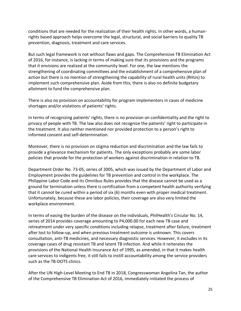conditions that are needed for the realization of their health rights. In other words, a humanrights based approach helps overcome the legal, structural, and social barriers to quality TB prevention, diagnosis, treatment and care services.

But such legal framework is not without flaws and gaps. The Comprehensive TB Elimination Act of 2016, for instance, is lacking in terms of making sure that its provisions and the programs that it envisions are realized at the community level. For one, the law mentions the strengthening of coordinating committees and the establishment of a comprehensive plan of action but there is no mention of strengthening the capability of rural health units (RHUs) to implement such comprehensive plan. Aside from this, there is also no definite budgetary allotment to fund the comprehensive plan.

There is also no provision on accountability for program implementors in cases of medicine shortages and/or violations of patients' rights.

In terms of recognizing patients' rights, there is no provision on confidentiality and the right to privacy of people with TB. The law also does not recognize the patients' right to participate in the treatment. It also neither mentioned nor provided protection to a person's right to informed consent and self-determination.

Moreover, there is no provision on stigma reduction and discrimination and the law fails to provide a grievance mechanism for patients. The only exceptions probably are some labor policies that provide for the protection of workers against discrimination in relation to TB.

Department Order No. 73-05, series of 2005, which was issued by the Department of Labor and Employment provides the guidelines for TB prevention and control in the workplace. The Philippine Labor Code and its Omnibus Rules provides that the disease cannot be used as a ground for termination unless there is certification from a competent health authority verifying that it cannot be cured within a period of six (6) months even with proper medical treatment. Unfortunately, because these are labor policies, their coverage are also very limited the workplace environment.

In terms of easing the burden of the disease on the individuals, PhilHealth's Circular No. 14, series of 2014 provides coverage amounting to P4,000.00 for each new TB case and retreatment under very specific conditions including relapse, treatment after failure, treatment after lost to follow-up, and when previous treatment outcome is unknown. This covers consultation, anti-TB medicines, and necessary diagnostic services. However, it excludes in its coverage cases of drug resistant TB and latent TB infection. And while it reiterates the provisions of the National Health Insurance Act of 1995, as amended, in that it makes health care services to indigents free, it still fails to instill accountability among the service providers such as the TB-DOTS clinics.

After the UN High-Level Meeting to End TB in 2018, Congresswoman Angelina Tan, the author of the Comprehensive TB Elimination Act of 2016, immediately initiated the process of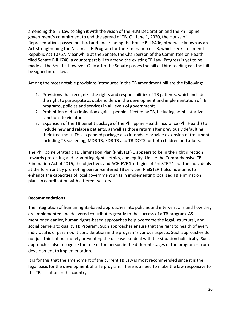amending the TB Law to align it with the vision of the HLM Declaration and the Philippine government's commitment to end the spread of TB. On June 1, 2020, the House of Representatives passed on third and final reading the House Bill 6496, otherwise known as an Act Strengthening the National TB Program for the Elimination of TB, which seeks to amend Republic Act 10767. Meanwhile at the Senate, the Chairperson of the Committee on Health filed Senate Bill 1748, a counterpart bill to amend the existing TB Law. Progress is yet to be made at the Senate, however. Only after the Senate passes the bill at third reading can the bill be signed into a law.

Among the most notable provisions introduced in the TB amendment bill are the following:

- 1. Provisions that recognize the rights and responsibilities of TB patients, which includes the right to participate as stakeholders in the development and implementation of TB programs, policies and services in all levels of government;
- 2. Prohibition of discrimination against people affected by TB, including administrative sanctions to violators;
- 3. Expansion of the TB benefit package of the Philippine Health Insurance (PhilHealth) to include new and relapse patients, as well as those return after previously defaulting their treatment. This expanded package also intends to provide extension of treatment including TB screening, MDR TB, XDR TB and TB-DOTS for both children and adults.

The Philippine Strategic TB Elimination Plan (PhilSTEP) 1 appears to be in the right direction towards protecting and promoting rights, ethics, and equity. Unlike the Comprehensive TB Elimination Act of 2016, the objectives and ACHIEVE Strategies of PhilSTEP 1 put the individuals at the forefront by promoting person-centered TB services. PhilSTEP 1 also now aims to enhance the capacities of local government units in implementing localized TB elimination plans in coordination with different sectors.

## **Recommendations**

The integration of human rights-based approaches into policies and interventions and how they are implemented and delivered contributes greatly to the success of a TB program. AS mentioned earlier, human rights-based approaches help overcome the legal, structural, and social barriers to quality TB Program. Such approaches ensure that the right to health of every individual is of paramount consideration in the program's various aspects. Such approaches do not just think about merely preventing the disease but deal with the situation holistically. Such approaches also recognize the role of the person in the different stages of the program – from development to implementation.

It is for this that the amendment of the current TB Law is most recommended since it is the legal basis for the development of a TB program. There is a need to make the law responsive to the TB situation in the country.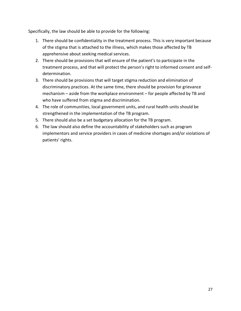Specifically, the law should be able to provide for the following:

- 1. There should be confidentiality in the treatment process. This is very important because of the stigma that is attached to the illness, which makes those affected by TB apprehensive about seeking medical services.
- 2. There should be provisions that will ensure of the patient's to participate in the treatment process, and that will protect the person's right to informed consent and selfdetermination.
- 3. There should be provisions that will target stigma reduction and elimination of discriminatory practices. At the same time, there should be provision for grievance mechanism – aside from the workplace environment – for people affected by TB and who have suffered from stigma and discrimination.
- 4. The role of communities, local government units, and rural health units should be strengthened in the implementation of the TB program.
- 5. There should also be a set budgetary allocation for the TB program.
- 6. The law should also define the accountability of stakeholders such as program implementors and service providers in cases of medicine shortages and/or violations of patients' rights.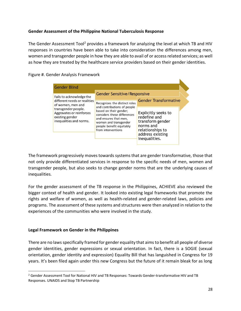## **Gender Assessment of the Philippine National Tuberculosis Response**

The Gender Assessment Tool<sup>2</sup> provides a framework for analyzing the level at which TB and HIV responses in countries have been able to take into consideration the differences among men, women and transgender people in how they are able to avail of or access related services; as well as how they are treated by the healthcare service providers based on their gender identities.

K

Figure #. Gender Analysis Framework

| <b>Gender Blind</b>                                                                           |                                                                                                                                                                                          |                                                                                                                               |  |
|-----------------------------------------------------------------------------------------------|------------------------------------------------------------------------------------------------------------------------------------------------------------------------------------------|-------------------------------------------------------------------------------------------------------------------------------|--|
| Fails to acknowledge the                                                                      | <b>Gender Sensitive/Responsive</b>                                                                                                                                                       |                                                                                                                               |  |
| different needs or realities<br>of women, men and                                             | Recognizes the distinct roles                                                                                                                                                            | <b>Gender Transformative</b>                                                                                                  |  |
| transgender people.<br>Aggravates or reinforces<br>existing gender<br>inequalities and norms. | and contributions of people<br>based on their gender;<br>considers these differences<br>and ensures that men,<br>women and transgender<br>people benefit equitably<br>from interventions | Explicitly seeks to<br>redefine and<br>transform gender<br>norms and<br>relationships to<br>address existing<br>inequalities. |  |

The framework progressively moves towards systems that are gender transformative, those that not only provide differentiated services in response to the specific needs of men, women and transgender people, but also seeks to change gender norms that are the underlying causes of inequalities.

For the gender assessment of the TB response in the Philippines, ACHIEVE also reviewed the bigger context of health and gender. It looked into existing legal frameworks that promote the rights and welfare of women, as well as health-related and gender-related laws, policies and programs. The assessment of these systems and structures were then analyzed in relation to the experiences of the communities who were involved in the study.

## **Legal Framework on Gender in the Philippines**

There are no lawsspecifically framed for gender equality that aims to benefit all people of diverse gender identities, gender expressions or sexual orientation. In fact, there is a SOGIE (sexual orientation, gender identity and expression) Equality Bill that has languished in Congress for 19 years. It's been filed again under this new Congress but the future of it remain bleak for as long

<sup>&</sup>lt;sup>2</sup> Gender Assessment Tool for National HIV and TB Responses: Towards Gender-transformative HIV and TB Responses. UNAIDS and Stop TB Partnership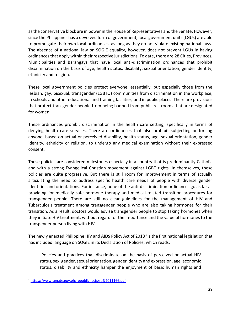as the conservative block are in power in the House of Representatives and the Senate. However, since the Philippines has a devolved form of government, local government units (LGUs) are able to promulgate their own local ordinances, as long as they do not violate existing national laws. The absence of a national law on SOGIE equality, however, does not prevent LGUs in having ordinances that apply within their respective jurisdictions. To date, there are 28 Cities, Provinces, Municipalities and Barangays that have local anti-discrimination ordinances that prohibit discrimination on the basis of age, health status, disability, sexual orientation, gender identity, ethnicity and religion.

These local government policies protect everyone, essentially, but especially those from the lesbian, gay, bisexual, transgender (LGBTQ) communities from discrimination in the workplace, in schools and other educational and training facilities, and in public places. There are provisions that protect transgender people from being banned from public restrooms that are designated for women.

These ordinances prohibit discrimination in the health care setting, specifically in terms of denying health care services. There are ordinances that also prohibit subjecting or forcing anyone, based on actual or perceived disability, health status, age, sexual orientation, gender identity, ethnicity or religion, to undergo any medical examination without their expressed consent.

These policies are considered milestones especially in a country that is predominantly Catholic and with a strong Evangelical Christian movement against LGBT rights. In themselves, these policies are quite progressive. But there is still room for improvement in terms of actually articulating the need to address specific health care needs of people with diverse gender identities and orientations. For instance, none of the anti-discrimination ordinances go as far as providing for medically safe hormone therapy and medical-related transition procedures for transgender people. There are still no clear guidelines for the management of HIV and Tuberculosis treatment among transgender people who are also taking hormones for their transition. As a result, doctors would advise transgender people to stop taking hormones when they initiate HIV treatment, without regard for the importance and the value of hormones to the transgender person living with HIV.

The newly enacted Philippine HIV and AIDS Policy Act of 2018<sup>3</sup> is the first national legislation that has included language on SOGIE in its Declaration of Policies, which reads:

"Policies and practices that discriminate on the basis of perceived or actual HIV status, sex, gender, sexual orientation, gender identity and expression, age, economic status, disability and ethnicity hamper the enjoyment of basic human rights and

<sup>&</sup>lt;sup>3</sup> [https://www.senate.gov.ph/republic\\_acts/ra%2011166.pdf](https://www.senate.gov.ph/republic_acts/ra%2011166.pdf)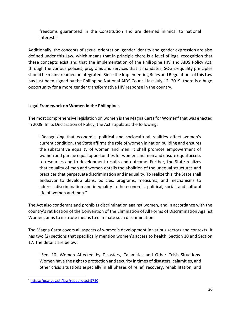freedoms guaranteed in the Constitution and are deemed inimical to national interest."

Additionally, the concepts of sexual orientation, gender identity and gender expression are also defined under this Law, which means that in principle there is a level of legal recognition that these concepts exist and that the implementation of the Philippine HIV and AIDS Policy Act, through the various policies, programs and services that it mandates, SOGIE-equality principles should be mainstreamed or integrated. Since the Implementing Rules and Regulations of this Law has just been signed by the Philippine National AIDS Council last July 12, 2019, there is a huge opportunity for a more gender transformative HIV response in the country.

## **Legal Framework on Women in the Philippines**

The most comprehensive legislation on women is the Magna Carta for Women 4 that was enacted in 2009. In its Declaration of Policy, the Act stipulates the following:

"Recognizing that economic, political and sociocultural realities affect women's current condition, the State affirms the role of women in nation building and ensures the substantive equality of women and men. It shall promote empowerment of women and pursue equal opportunities for women and men and ensure equal access to resources and to development results and outcome. Further, the State realizes that equality of men and women entails the abolition of the unequal structures and practices that perpetuate discrimination and inequality. To realize this, the State shall endeavor to develop plans, policies, programs, measures, and mechanisms to address discrimination and inequality in the economic, political, social, and cultural life of women and men."

The Act also condemns and prohibits discrimination against women, and in accordance with the country's ratification of the Convention of the Elimination of All Forms of Discrimination Against Women, aims to institute means to eliminate such discrimination.

The Magna Carta covers all aspects of women's development in various sectors and contexts. It has two (2) sections that specifically mention women's access to health, Section 10 and Section 17. The details are below:

"Sec. 10. Women Affected by Disasters, Calamities and Other Crisis Situations. Women have the right to protection and security in times of disasters, calamities, and other crisis situations especially in all phases of relief, recovery, rehabilitation, and

<sup>4</sup> <https://pcw.gov.ph/law/republic-act-9710>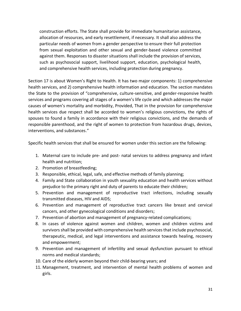construction efforts. The State shall provide for immediate humanitarian assistance, allocation of resources, and early resettlement, if necessary. It shall also address the particular needs of women from a gender perspective to ensure their full protection from sexual exploitation and other sexual and gender-based violence committed against them. Responses to disaster situations shall include the provision of services, such as psychosocial support, livelihood support, education, psychological health, and comprehensive health services, including protection during pregnancy.

Section 17 is about Women's Right to Health. It has two major components: 1) comprehensive health services, and 2) comprehensive health information and education. The section mandates the State to the provision of "comprehensive, culture-sensitive, and gender-responsive health services and programs covering all stages of a women's life cycle and which addresses the major causes of women's mortality and morbidity, Provided, That in the provision for comprehensive health services due respect shall be accorded to women's religious convictions, the rights of spouses to found a family in accordance with their religious convictions, and the demands of responsible parenthood, and the right of women to protection from hazardous drugs, devices, interventions, and substances."

Specific health services that shall be ensured for women under this section are the following:

- 1. Maternal care to include pre- and post- natal services to address pregnancy and infant health and nutrition;
- 2. Promotion of breastfeeding;
- 3. Responsible, ethical, legal, safe, and effective methods of family planning;
- 4. Family and State collaboration in youth sexuality education and health services without prejudice to the primary right and duty of parents to educate their children;
- 5. Prevention and management of reproductive tract infections, including sexually transmitted diseases, HIV and AIDS;
- 6. Prevention and management of reproductive tract cancers like breast and cervical cancers, and other gynecological conditions and disorders;
- 7. Prevention of abortion and management of pregnancy-related complications;
- 8. In cases of violence against women and children, women and children victims and survivors shall be provided with comprehensive health services that include psychosocial, therapeutic, medical, and legal interventions and assistance towards healing, recovery and empowerment;
- 9. Prevention and management of infertility and sexual dysfunction pursuant to ethical norms and medical standards;
- 10. Care of the elderly women beyond their child-bearing years; and
- 11. Management, treatment, and intervention of mental health problems of women and girls.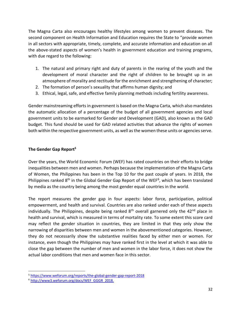The Magna Carta also encourages healthy lifestyles among women to prevent diseases. The second component on Health Information and Education requires the State to "provide women in all sectors with appropriate, timely, complete, and accurate information and education on all the above-stated aspects of women's health in government education and training programs, with due regard to the following:

- 1. The natural and primary right and duty of parents in the rearing of the youth and the development of moral character and the right of children to be brought up in an atmosphere of morality and rectitude for the enrichment and strengthening of character;
- 2. The formation of person's sexuality that affirms human dignity; and
- 3. Ethical, legal, safe, and effective family planning methods including fertility awareness.

Gender mainstreaming efforts in government is based on the Magna Carta, which also mandates the automatic allocation of a percentage of the budget of all government agencies and local government units to be earmarked for Gender and Development (GAD), also known as the GAD budget. This fund should be used for GAD related activities that advance the rights of women both within the respective government units, as well as the women these units or agencies serve.

### **The Gender Gap Report<sup>5</sup>**

Over the years, the World Economic Forum (WEF) has rated countries on their efforts to bridge inequalities between men and women. Perhaps because the implementation of the Magna Carta of Women, the Philippines has been in the Top 10 for the past couple of years. In 2018, the Philippines ranked 8<sup>th</sup> in the Global Gender Gap Report of the WEF<sup>6</sup>, which has been translated by media as the country being among the most gender equal countries in the world.

The report measures the gender gap in four aspects: labor force, participation, political empowerment, and health and survival. Countries are also ranked under each of these aspects individually. The Philippines, despite being ranked  $8<sup>th</sup>$  overall garnered only the 42<sup>nd</sup> place in health and survival, which is measured in terms of mortality rate. To some extent this score card may reflect the gender situation in countries, they are limited in that they only show the narrowing of disparities between men and women in the abovementioned categories. However, they do not necessarily show the substantive realities faced by either men or women. For instance, even though the Philippines may have ranked first in the level at which it was able to close the gap between the number of men and women in the labor force, it does not show the actual labor conditions that men and women face in this sector.

<sup>5</sup> <https://www.weforum.org/reports/the-global-gender-gap-report-2018>

<sup>6</sup> [http://www3.weforum.org/docs/WEF\\_GGGR\\_2018.](http://www3.weforum.org/docs/WEF_GGGR_2018.)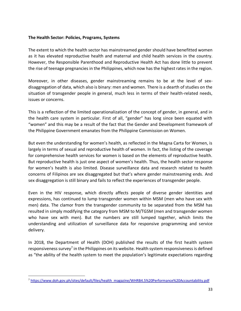## **The Health Sector: Policies, Programs, Systems**

The extent to which the health sector has mainstreamed gender should have benefitted women as it has elevated reproductive health and maternal and child health services in the country. However, the Responsible Parenthood and Reproductive Health Act has done little to prevent the rise of teenage pregnancies in the Philippines, which now has the highest rates in the region.

Moreover, in other diseases, gender mainstreaming remains to be at the level of sexdisaggregation of data, which also is binary: men and women. There is a dearth of studies on the situation of transgender people in general, much less in terms of their health-related needs, issues or concerns.

This is a reflection of the limited operationalization of the concept of gender, in general, and in the health care system in particular. First of all, "gender" has long since been equated with "women" and this may be a result of the fact that the Gender and Development framework of the Philippine Government emanates from the Philippine Commission on Women.

But even the understanding for women's health, as reflected in the Magna Carta for Women, is largely in terms of sexual and reproductive health of women. In fact, the listing of the coverage for comprehensive health services for women is based on the elements of reproductive health. But reproductive health is just one aspect of women's health. Thus, the health sector response for women's health is also limited. Disease surveillance data and research related to health concerns of Filipinos are sex disaggregated but that's where gender mainstreaming ends. And sex disaggregation is still binary and fails to reflect the experiences of transgender people.

Even in the HIV response, which directly affects people of diverse gender identities and expressions, has continued to lump transgender women within MSM (men who have sex with men) data. The clamor from the transgender community to be separated from the MSM has resulted in simply modifying the category from MSM to M/TGSM (men and transgender women who have sex with men). But the numbers are still lumped together, which limits the understanding and utilization of surveillance data for responsive programming and service delivery.

In 2018, the Department of Health (DOH) published the results of the first health system responsiveness survey<sup>7</sup> in the Philippines on its website. Health system responsiveness is defined as "the ability of the health system to meet the population's legitimate expectations regarding

<sup>7</sup> [https://www.doh.gov.ph/sites/default/files/health\\_magazine/WHRB4.5%20Performance%20Accountability.pdf](https://www.doh.gov.ph/sites/default/files/health_magazine/WHRB4.5%20Performance%20Accountability.pdf)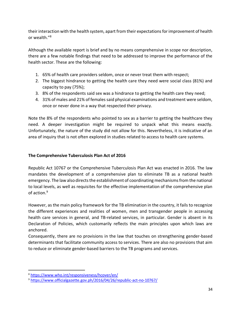their interaction with the health system, apart from their expectations for improvement of health or wealth."<sup>8</sup>

Although the available report is brief and by no means comprehensive in scope nor description, there are a few notable findings that need to be addressed to improve the performance of the health sector. These are the following:

- 1. 65% of health care providers seldom, once or never treat them with respect;
- 2. The biggest hindrance to getting the health care they need were social class (81%) and capacity to pay (75%);
- 3. 8% of the respondents said sex was a hindrance to getting the health care they need;
- 4. 31% of males and 21% of females said physical examinations and treatment were seldom, once or never done in a way that respected their privacy.

Note the 8% of the respondents who pointed to sex as a barrier to getting the healthcare they need. A deeper investigation might be required to unpack what this means exactly. Unfortunately, the nature of the study did not allow for this. Nevertheless, it is indicative of an area of inquiry that is not often explored in studies related to access to health care systems.

## **The Comprehensive Tuberculosis Plan Act of 2016**

Republic Act 10767 or the Comprehensive Tuberculosis Plan Act was enacted in 2016. The law mandates the development of a comprehensive plan to eliminate TB as a national health emergency. The law also directs the establishment of coordinating mechanisms from the national to local levels, as well as requisites for the effective implementation of the comprehensive plan of action. 9

However, as the main policy framework for the TB elimination in the country, it fails to recognize the different experiences and realities of women, men and transgender people in accessing health care services in general, and TB-related services, in particular. Gender is absent in its Declaration of Policies, which customarily reflects the main principles upon which laws are anchored.

Consequently, there are no provisions in the law that touches on strengthening gender-based determinants that facilitate community access to services. There are also no provisions that aim to reduce or eliminate gender-based barriers to the TB programs and services.

<sup>8</sup> <https://www.who.int/responsiveness/hcover/en/>

<sup>9</sup> <https://www.officialgazette.gov.ph/2016/04/26/republic-act-no-10767/>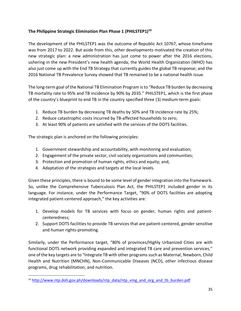## **The Philippine Strategic Elimination Plan Phase 1 (PHILSTEP1)<sup>10</sup>**

The development of the PHILSTEP1 was the outcome of Republic Act 10767, whose timeframe was from 2017 to 2022. But aside from this, other developments motivated the creation of this new strategic plan: a new administration has just come to power after the 2016 elections, ushering in the new President's new health agenda; the World Health Organization (WHO) has also just come up with the End TB Strategy that currently guides the global TB response; and the 2016 National TB Prevalence Survey showed that TB remained to be a national health issue.

The long-term goal of the National TB Elimination Program is to "Reduce TB burden by decreasing TB mortality rate to 95% and TB incidence by 90% by 2035." PHILSTEP1, which is the first phase of the country's blueprint to end TB in the country specified three (3) medium-term goals:

- 1. Reduce TB burden by decreasing TB deaths by 50% and TB incidence rate by 25%;
- 2. Reduce catastrophic costs incurred by TB-affected households to zero;
- 3. At least 90% of patients are satisfied with the services of the DOTS facilities.

The strategic plan is anchored on the following principles:

- 1. Government stewardship and accountability, with monitoring and evaluation;
- 2. Engagement of the private sector, civil society organizations and communities;
- 3. Protection and promotion of human rights, ethics and equity; and,
- 4. Adaptation of the strategies and targets at the local levels.

Given these principles, there is bound to be some level of gender integration into the framework. So, unlike the Comprehensive Tuberculosis Plan Act, the PHILSTEP1 included gender in its language. For instance, under the Performance Target, "90% of DOTS facilities are adopting integrated patient-centered approach," the key activities are:

- 1. Develop models for TB services with focus on gender, human rights and patientcenteredness;
- 2. Support DOTS facilities to provide TB services that are patient-centered, gender sensitive and human rights-promoting.

Similarly, under the Performance target, "80% of provinces/Highly Urbanized Cities are with functional DOTS network providing expanded and integrated TB care and prevention services," one of the key targets are to "Integrate TB with other programs such as Maternal, Newborn, Child Health and Nutrition (MNCHN), Non-Communicable Diseases (NCD), other infectious disease programs, drug rehabilitation, and nutrition.

<sup>&</sup>lt;sup>10</sup> [http://www.ntp.doh.gov.ph/downloads/ntp\\_data/ntp\\_vmg\\_and\\_org\\_and\\_tb\\_burden.pdf](http://www.ntp.doh.gov.ph/downloads/ntp_data/ntp_vmg_and_org_and_tb_burden.pdf)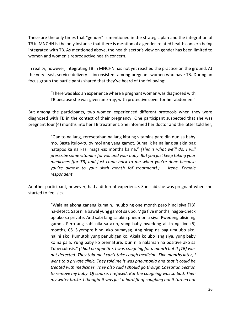These are the only times that "gender" is mentioned in the strategic plan and the integration of TB in MNCHN is the only instance that there is mention of a gender-related health concern being integrated with TB. As mentioned above, the health sector's view on gender has been limited to women and women's reproductive health concern.

In reality, however, integrating TB in MNCHN has not yet reached the practice on the ground. At the very least, service delivery is inconsistent among pregnant women who have TB. During an focus group the participants shared that they've heard of the following:

> "There was also an experience where a pregnant woman was diagnosed with TB because she was given an x-ray, with protective cover for her abdomen."

But among the participants, two women experienced different protocols when they were diagnosed with TB in the context of their pregnancy. One participant suspected that she was pregnant four (4) months into her TB treatment. She informed her doctor and the latter told her,

> "Ganito na lang, reresetahan na lang kita ng vitamins pare din dun sa baby mo. Basta ituloy-tuloy mol ang yang gamot. Bumalik ka na lang sa akin pag natapos ka na kasi magsi-six months ka na." *(This is what we'll do. I will prescribe some vitamins for you and your baby. But you just keep taking your medicines [for TB] and just come back to me when you're done because you're almost to your sixth month [of treatment].) – Irene, Female respondent*

Another participant, however, had a different experience. She said she was pregnant when she started to feel sick.

> "Wala na akong ganang kumain. Inuubo ng one month pero hindi siya [TB] na-detect. Sabi nila bawal yung gamot sa ubo. Mga five months, nagpa-check up ako sa private. And sabi lang sa akin pneumonia siya. Pwedeng alisin ng gamot. Pero ang sabi nila sa akin, yung baby pwedeng alisin ng five (5) months, CS. Siyempre hindi ako pumayag. Ang hirap na pag umuubo ako, naiihi ako. Pumutok yung panubigan ko. Akala ko ubo lang siya, yung baby ko na pala. Yung baby ko premature. Dun nila nalaman na positive ako sa Tuberculosis." *(I had no appetite. I was coughing for a month but it [TB] was not detected. They told me I can't take cough medicine. Five months later, I went to a private clinic. They told me it was pneumonia and that it could be treated with medicines. They also said I should go though Caesarian Section to remove my baby. Of course, I refused. But the coughing was so bad. Then my water broke. I thought it was just a hard fit of coughing but it turned out*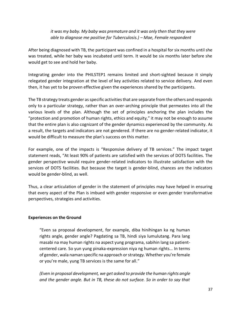*it was my baby. My baby was premature and it was only then that they were able to diagnose me positive for Tuberculosis.) – Mae, Female respondent*

After being diagnosed with TB, the participant was confined in a hospital for six months until she was treated, while her baby was incubated until term. It would be six months later before she would get to see and hold her baby.

Integrating gender into the PHILSTEP1 remains limited and short-sighted because it simply relegated gender integration at the level of key activities related to service delivery. And even then, it has yet to be proven effective given the experiences shared by the participants.

The TB strategy treats gender as specific activities that are separate from the others and responds only to a particular strategy, rather than an over-arching principle that permeates into all the various levels of the plan. Although the set of principles anchoring the plan includes the "protection and promotion of human rights, ethics and equity," it may not be enough to assume that the entire plan is also cognizant of the gender dynamics experienced by the community. As a result, the targets and indicators are not gendered. If there are no gender-related indicator, it would be difficult to measure the plan's success on this matter.

For example, one of the impacts is "Responsive delivery of TB services." The impact target statement reads, "At least 90% of patients are satisfied with the services of DOTS facilities. The gender perspective would require gender-related indicators to illustrate satisfaction with the services of DOTS facilities. But because the target is gender-blind, chances are the indicators would be gender-blind, as well.

Thus, a clear articulation of gender in the statement of principles may have helped in ensuring that every aspect of the Plan is imbued with gender responsive or even gender transformative perspectives, strategies and activities.

## **Experiences on the Ground**

"Even sa proposal development, for example, diba hinihingan ka ng human rights angle, gender angle? Pagdating sa TB, hindi siya lumulutang. Para lang masabi na may human rights na aspect yung programa, sabihin lang sa patientcentered care. So yun yung pinaka-expression niya ng human rights… In terms of gender, wala naman specific na approach or strategy. Whether you're female or you're male, yung TB services is the same for all."

*(Even in proposal development, we get asked to provide the human rights angle and the gender angle. But in TB, these do not surface. So in order to say that*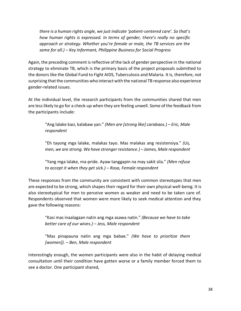*there is a human rights angle, we just indicate 'patient-centered care'. So that's how human rights is expressed. In terms of gender, there's really no specific approach or strategy. Whether you're female or male, the TB services are the same for all.) – Key Informant, Philippine Business for Social Progress*

Again, the preceding comment is reflective of the lack of gender perspective in the national strategy to eliminate TB, which is the primary basis of the project proposals submitted to the donors like the Global Fund to Fight AIDS, Tuberculosis and Malaria. It is, therefore, not surprising that the communities who interact with the national TB response also experience gender-related issues.

At the individual level, the research participants from the communities shared that men are less likely to go for a check-up when they are feeling unwell. Some of the feedback from the participants include:

"Ang lalake kasi, kalabaw yan." *(Men are [strong like] carabaos.) – Eric, Male respondent*

"Eh tayong mga lalake, malakas tayo. Mas malakas ang resistensiya." *(Us, men, we are strong. We have stronger resistance.) – James, Male respondent*

"Yang mga lalake, ma-pride. Ayaw tanggapin na may sakit sila." *(Men refuse to accept it when they get sick.) – Rosa, Female respondent*

These responses from the community are consistent with common stereotypes that men are expected to be strong, which shapes their regard for their own physical well-being. It is also stereotypical for men to perceive women as weaker and need to be taken care of. Respondents observed that women were more likely to seek medical attention and they gave the following reasons:

"Kasi mas inaalagaan natin ang mga asawa natin." *(Because we have to take better care of our wives.) – Jess, Male respondent*

"Mas pinapauna natin ang mga babae." *(We have to prioritize them [women]). – Ben, Male respondent*

Interestingly enough, the women participants were also in the habit of delaying medical consultation until their condition have gotten worse or a family member forced them to see a doctor. One participant shared,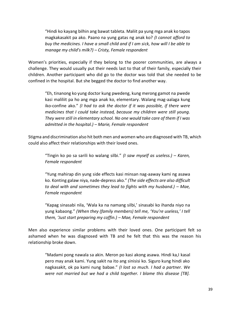"Hindi ko kayang bilhin ang bawat tableta. Maliit pa yung mga anak ko tapos magkakasakit pa ako. Paano na yung gatas ng anak ko? *(I cannot afford to buy the medicines. I have a small child and if I am sick, how will I be able to manage my child's milk?) – Cristy, Female respondent*

Women's priorities, especially if they belong to the poorer communities, are always a challenge. They would usually put their needs last to that of their family, especially their children. Another participant who did go to the doctor was told that she needed to be confined in the hospital. But she begged the doctor to find another way.

"Eh, tinanong ko yung doctor kung pwedeng, kung merong gamot na pwede kasi maliliit pa ho ang mga anak ko, elementary. Walang mag-aalaga kung iko-confine ako." *(I had to ask the doctor if it was possible, if there were medicines that I could take instead, because my children were still young. They were still in elementary school. No one would take care of them if I was admitted in the hospital.) – Marie, Female respondent*

Stigma and discrimination also hit both men and women who are diagnosed with TB, which could also affect their relationships with their loved ones.

"Tingin ko po sa sarili ko walang silbi." *(I saw myself as useless.) – Karen, Female respondent*

"Yung mahirap din yung side effects kasi minsan nag-aaway kami ng asawa ko. Konting galaw niya, nade-depress ako." *(The side effects are also difficult to deal with and sometimes they lead to fights with my husband.)* – Mae, *Female respondent*

"Kapag sinasabi nila, 'Wala ka na namang silbi,' sinasabi ko ihanda niyo na yung kabaong." *(When they (family members) tell me, 'You're useless,' I tell them, 'Just start preparing my coffin.) – Mae, Female respondent*

Men also experience similar problems with their loved ones. One participant felt so ashamed when he was diagnosed with TB and he felt that this was the reason his relationship broke down.

"Madami pong nawala sa akin. Meron po kasi akong asawa. Hindi ka,I kasal pero may anak kami. Yung sakit na ito ang sinisisi ko. Siguro kung hindi ako nagkasakit, ok pa kami nung babae." *(I lost so much. I had a partner. We were not married but we had a child together. I blame this disease [TB].*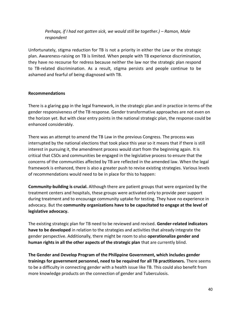*Perhaps, if I had not gotten sick, we would still be together.) – Ramon, Male respondent*

Unfortunately, stigma reduction for TB is not a priority in either the Law or the strategic plan. Awareness-raising on TB is limited. When people with TB experience discrimination, they have no recourse for redress because neither the law nor the strategic plan respond to TB-related discrimination. As a result, stigma persists and people continue to be ashamed and fearful of being diagnosed with TB.

#### **Recommendations**

There is a glaring gap in the legal framework, in the strategic plan and in practice in terms of the gender responsiveness of the TB response. Gender transformative approaches are not even on the horizon yet. But with clear entry points in the national strategic plan, the response could be enhanced considerably.

There was an attempt to amend the TB Law in the previous Congress. The process was interrupted by the national elections that took place this year so it means that if there is still interest in pursuing it, the amendment process would start from the beginning again. It is critical that CSOs and communities be engaged in the legislative process to ensure that the concerns of the communities affected by TB are reflected in the amended law. When the legal framework is enhanced, there is also a greater push to revise existing strategies. Various levels of recommendations would need to be in place for this to happen:

**Community-building is crucial.** Although there are patient groups that were organized by the treatment centers and hospitals, these groups were activated only to provide peer support during treatment and to encourage community uptake for testing. They have no experience in advocacy. But the **community organizations have to be capacitated to engage at the level of legislative advocacy.** 

The existing strategic plan for TB need to be reviewed and revised. **Gender-related indicators have to be developed** in relation to the strategies and activities that already integrate the gender perspective. Additionally, there might be room to also **operationalize gender and human rights in all the other aspects of the strategic plan** that are currently blind.

**The Gender and Develop Program of the Philippine Government, which includes gender trainings for government personnel, need to be required for all TB practitioners.** There seems to be a difficulty in connecting gender with a health issue like TB. This could also benefit from more knowledge products on the connection of gender and Tuberculosis.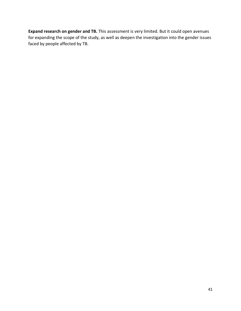**Expand research on gender and TB.** This assessment is very limited. But it could open avenues for expanding the scope of the study, as well as deepen the investigation into the gender issues faced by people affected by TB.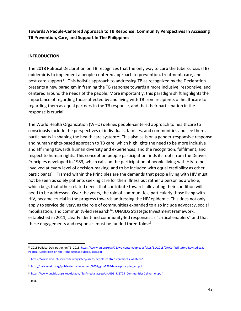**Towards A People-Centered Approach to TB Response: Community Perspectives In Accessing TB Prevention, Care, and Support In The Philippines**

### **INTRODUCTION**

The 2018 Political Declaration on TB recognizes that the only way to curb the tuberculosis (TB) epidemic is to implement a people-centered approach to prevention, treatment, care, and post-care support<sup>11</sup>. This holistic approach to addressing TB as recognized by the Declaration presents a new paradigm in framing the TB response towards a more inclusive, responsive, and centered around the needs of the people. More importantly, this paradigm shift highlights the importance of regarding those affected by and living with TB from recipients of healthcare to regarding them as equal partners in the TB response, and that their participation in the response is crucial.

The World Health Organization (WHO) defines people-centered approach to healthcare to consciously include the perspectives of individuals, families, and communities and see them as participants in shaping the health care system $^{12}$ . This also calls on a gender-responsive response and human rights-based approach to TB care, which highlights the need to be more inclusive and affirming towards human diversity and experiences; and the recognition, fulfilment, and respect to human rights. This concept on people participation finds its roots from the Denver Principles developed in 1983, which calls on the participation of people living with HIV to be involved at every level of decision-making, and to be included with equal credibility as other participants<sup>13</sup>. Framed within the Principles are the demands that people living with HIV must not be seen as solely patients seeking care for their illness but rather a person as a whole, which begs that other related needs that contribute towards alleviating their condition will need to be addressed. Over the years, the role of communities, particularly those living with HIV, became crucial in the progress towards addressing the HIV epidemic. This does not only apply to service delivery, as the role of communities expanded to also include advocacy, social mobilization, and community-led research<sup>14</sup>. UNAIDS Strategic Investment Framework, established in 2011, clearly identified community-led responses as "critical enablers" and that these engagements and responses must be funded three-folds<sup>15</sup>.

<sup>&</sup>lt;sup>11</sup> 2018 Political Declaration on TB, 2018, [https://www.un.org/pga/72/wp-content/uploads/sites/51/2018/09/Co-facilitators-Revised-text-](https://www.un.org/pga/72/wp-content/uploads/sites/51/2018/09/Co-facilitators-Revised-text-Political-Declaraion-on-the-Fight-against-Tuberculosis.pdf)[Political-Declaraion-on-the-Fight-against-Tuberculosis.pdf](https://www.un.org/pga/72/wp-content/uploads/sites/51/2018/09/Co-facilitators-Revised-text-Political-Declaraion-on-the-Fight-against-Tuberculosis.pdf)

<sup>12</sup> <https://www.who.int/servicedeliverysafety/areas/people-centred-care/ipchs-what/en/>

<sup>13</sup> [http://data.unaids.org/pub/externaldocument/2007/gipa1983denverprinciples\\_en.pdf](http://data.unaids.org/pub/externaldocument/2007/gipa1983denverprinciples_en.pdf)

<sup>14</sup> [https://www.unaids.org/sites/default/files/media\\_asset/UNAIDS\\_JC2725\\_CommunitiesDeliver\\_en.pdf](https://www.unaids.org/sites/default/files/media_asset/UNAIDS_JC2725_CommunitiesDeliver_en.pdf)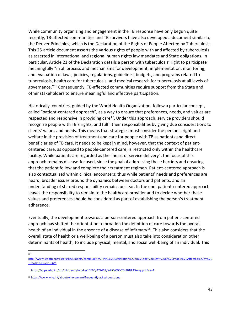While community organizing and engagement in the TB response have only begun quite recently, TB-affected communities and TB survivors have also developed a document similar to the Denver Principles, which is the Declaration of the Rights of People Affected by Tuberculosis. This 25-article document asserts the various rights of people with and affected by tuberculosis as asserted in international and regional human rights law mandates and State obligations. In particular, Article 21 of the Declaration details a person with tuberculosis' right to participate meaningfully "in all process and mechanisms for development, implementation, monitoring, and evaluation of laws, policies, regulations, guidelines, budgets, and programs related to tuberculosis, health care for tuberculosis, and medical research for tuberculosis at all levels of governance."<sup>16</sup> Consequently, TB-affected communities require support from the State and other stakeholders to ensure meaningful and effective participation.

Historically, countries, guided by the World Health Organization, follow a particular concept, called "patient-centered approach", as a way to ensure that preferences, needs, and values are respected and responsive in providing care<sup>17</sup>. Under this approach, service providers should recognize people with TB's rights, and fulfil their responsibilities by giving due considerations to clients' values and needs. This means that strategies must consider the person's right and welfare in the provision of treatment and care for people with TB as patients and direct beneficiaries of TB care. It needs to be kept in mind, however, that the context of patientcentered care, as opposed to people-centered care, is restricted only within the healthcare facility. While patients are regarded as the "heart of service delivery", the focus of this approach remains disease-focused, since the goal of addressing these barriers and ensuring that the patient follow and complete their treatment regimen. Patient-centered approach is also contextualized within clinical encounters; thus while patients' needs and preferences are heard, broader issues around the dynamics between doctors and patients, and an understanding of shared responsibility remains unclear. In the end, patient-centered approach leaves the responsibility to remain to the healthcare provider and to decide whether these values and preferences should be considered as part of establishing the person's treatment adherence.

Eventually, the development towards a person-centered approach from patient-centered approach has shifted the orientation to broaden the definition of care towards the overall health of an individual in the absence of a disease of infirmary<sup>18</sup>. This also considers that the overall state of health or a well-being of a person must also take into consideration other determinants of health, to include physical, mental, and social well-being of an individual. This

16

[http://www.stoptb.org/assets/documents/communities/FINAL%20Declaration%20on%20the%20Right%20of%20People%20Affected%20by%20](http://www.stoptb.org/assets/documents/communities/FINAL%20Declaration%20on%20the%20Right%20of%20People%20Affected%20by%20TB%2013.05.2019.pdf) [TB%2013.05.2019.pdf](http://www.stoptb.org/assets/documents/communities/FINAL%20Declaration%20on%20the%20Right%20of%20People%20Affected%20by%20TB%2013.05.2019.pdf)

<sup>17</sup> <https://apps.who.int/iris/bitstream/handle/10665/272467/WHO-CDS-TB-2018.13-eng.pdf?ua=1>

<sup>18</sup> <https://www.who.int/about/who-we-are/frequently-asked-questions>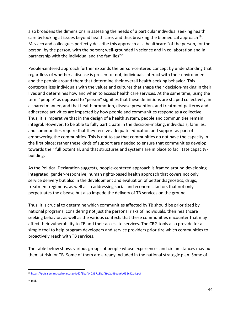also broadens the dimensions in assessing the needs of a particular individual seeking health care by looking at issues beyond health care, and thus breaking the biomedical approach<sup>19</sup>. Mezzich and colleagues perfectly describe this approach as a healthcare "of the person, for the person, by the person, with the person; well-grounded in science and in collaboration and in partnership with the individual and the families"<sup>20</sup>.

People-centered approach further expands the person-centered concept by understanding that regardless of whether a disease is present or not, individuals interact with their environment and the people around them that determine their overall health-seeking behavior. This contextualizes individuals with the values and cultures that shape their decision-making in their lives and determines how and when to access health care services. At the same time, using the term "people" as opposed to "person" signifies that these definitions are shaped collectively, in a shared manner, and that health promotion, disease prevention, and treatment patterns and adherence activities are impacted by how people and communities respond as a collective. Thus, it is imperative that in the design of a health system, people and communities remain integral. However, to be able to fully participate in the decision-making, individuals, families, and communities require that they receive adequate education and support as part of empowering the communities. This is not to say that communities do not have the capacity in the first place; rather these kinds of support are needed to ensure that communities develop towards their full potential, and that structures and systems are in place to facilitate capacitybuilding.

As the Political Declaration suggests, people-centered approach is framed around developing integrated, gender-responsive, human rights-based health approach that covers not only service delivery but also in the development and evaluation of better diagnostics, drugs, treatment regimens, as well as in addressing social and economic factors that not only perpetuates the disease but also impede the delivery of TB services on the ground.

Thus, it is crucial to determine which communities affected by TB should be prioritized by national programs, considering not just the personal risks of individuals, their healthcare seeking behavior, as well as the various contexts that these communities encounter that may affect their vulnerability to TB and their access to services. The CRG tools also provide for a simple tool to help program developers and service providers prioritize which communities to proactively reach with TB services.

The table below shows various groups of people whose experiences and circumstances may put them at risk for TB. Some of them are already included in the national strategic plan. Some of

<sup>19</sup> <https://pdfs.semanticscholar.org/4e62/3bafd4033718b1f39e2a49aaa6d652c92dff.pdf>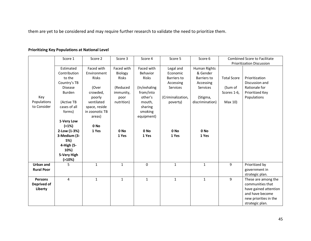them are yet to be considered and may require further research to validate the need to prioritize them.

|                   | Score 1        | Score 2        | Score 3      | Score 4         | Score 5           | Score 6         |                    | <b>Combined Score to Facilitate</b> |
|-------------------|----------------|----------------|--------------|-----------------|-------------------|-----------------|--------------------|-------------------------------------|
|                   |                |                |              |                 |                   |                 |                    | <b>Prioritization Discussion</b>    |
|                   | Estimated      | Faced with     | Faced with   | Faced with      | Legal and         | Human Rights    |                    |                                     |
|                   | Contribution   | Environment    | Biology      | Behavior        | Economic          | & Gender        |                    |                                     |
|                   | to the         | Risks          | <b>Risks</b> | <b>Risks</b>    | Barriers to       | Barriers to     | <b>Total Score</b> | Prioritization                      |
|                   | Country's TB   |                |              |                 | Accessing         | Accessing       |                    | Discussion and                      |
|                   | <b>Disease</b> | (Over          | (Reduced     | (In/exhaling    | Services          | <b>Services</b> | (Sum of            | Rationale for                       |
|                   | <b>Burden</b>  | crowded,       | immunity,    | from/into       |                   |                 | Scores 1-6,        | Prioritized Key                     |
| Key               |                | poorly         | poor         | other's         | (Criminalization, | (Stigma,        |                    | Populations                         |
| Populations       | (Active TB     | ventilated     | nutrition)   | mouth,          | poverty)          | discrimination) | Max 10)            |                                     |
| to Consider       | cases of all   | space, reside  |              | sharing         |                   |                 |                    |                                     |
|                   | forms)         | in zoonotic TB |              | smoking         |                   |                 |                    |                                     |
|                   |                | areas)         |              | equipment)      |                   |                 |                    |                                     |
|                   | 1-Very Low     |                |              |                 |                   |                 |                    |                                     |
|                   | (1%)           | 0 No           |              |                 |                   |                 |                    |                                     |
|                   | 2-Low (1-3%)   | 1 Yes          | 0 No         | 0 <sub>No</sub> | 0 <sub>No</sub>   | 0 No            |                    |                                     |
|                   | 3-Medium (3-   |                | 1 Yes        | 1 Yes           | 1 Yes             | 1 Yes           |                    |                                     |
|                   | 5%)            |                |              |                 |                   |                 |                    |                                     |
|                   | 4-High (5-     |                |              |                 |                   |                 |                    |                                     |
|                   | 10%)           |                |              |                 |                   |                 |                    |                                     |
|                   | 5-Very High    |                |              |                 |                   |                 |                    |                                     |
|                   | $( >10\%)$     |                |              |                 |                   |                 |                    |                                     |
| <b>Urban and</b>  | 5              | $\mathbf{1}$   | $\mathbf{1}$ | 0               | $\mathbf{1}$      | $\mathbf{1}$    | 9                  | Prioritized by                      |
| <b>Rural Poor</b> |                |                |              |                 |                   |                 |                    | government in                       |
|                   |                |                |              |                 |                   |                 |                    | strategic plan.                     |
| <b>Persons</b>    | 4              | $\mathbf{1}$   | $\mathbf{1}$ | $\mathbf{1}$    | $\mathbf{1}$      | $\mathbf{1}$    | 9                  | These are among the                 |
| Deprived of       |                |                |              |                 |                   |                 |                    | communities that                    |
| Liberty           |                |                |              |                 |                   |                 |                    | have gained attention               |
|                   |                |                |              |                 |                   |                 |                    | and have become                     |
|                   |                |                |              |                 |                   |                 |                    | new priorities in the               |
|                   |                |                |              |                 |                   |                 |                    | strategic plan.                     |

## **Prioritizing Key Populations at National Level**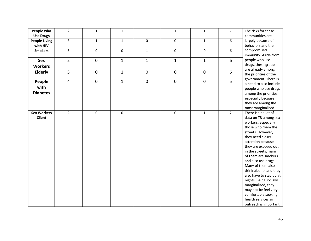| People who           | $\overline{2}$          | $\mathbf{1}$ | $\mathbf{1}$ | $\mathbf{1}$        | $\mathbf{1}$        | $\mathbf{1}$ | $\overline{7}$ | The risks for these     |
|----------------------|-------------------------|--------------|--------------|---------------------|---------------------|--------------|----------------|-------------------------|
| <b>Use Drugs</b>     |                         |              |              |                     |                     |              |                | communities are         |
| <b>People Living</b> | $\overline{\mathbf{3}}$ | $\mathbf{1}$ | $\mathbf{1}$ | $\mathbf 0$         | $\mathbf 0$         | $\mathbf{1}$ | 6              | largely because of      |
| with HIV             |                         |              |              |                     |                     |              |                | behaviors and their     |
| <b>Smokers</b>       | 5                       | 0            | $\mathbf 0$  | $\mathbf{1}$        | $\mathsf{o}$        | $\mathbf 0$  | 6              | compromised             |
|                      |                         |              |              |                     |                     |              |                | immunity. Aside from    |
| Sex                  | $\overline{2}$          | $\pmb{0}$    | $\mathbf{1}$ | $\mathbf{1}$        | $\mathbf{1}$        | $\mathbf{1}$ | 6              | people who use          |
| <b>Workers</b>       |                         |              |              |                     |                     |              |                | drugs, these groups     |
| <b>Elderly</b>       | 5 <sup>1</sup>          | $\pmb{0}$    | $\mathbf{1}$ | $\mathsf{O}\xspace$ | $\mathsf{O}\xspace$ | $\mathbf 0$  | 6              | are already among       |
|                      |                         |              |              |                     |                     |              |                | the priorities of the   |
| People               | $\overline{4}$          | $\pmb{0}$    | $\mathbf{1}$ | $\mathbf 0$         | $\mathbf 0$         | $\mathbf 0$  | 5              | government. There is    |
|                      |                         |              |              |                     |                     |              |                | a need to also include  |
| with                 |                         |              |              |                     |                     |              |                | people who use drugs    |
| <b>Diabetes</b>      |                         |              |              |                     |                     |              |                | among the priorities,   |
|                      |                         |              |              |                     |                     |              |                | especially because      |
|                      |                         |              |              |                     |                     |              |                | they are among the      |
|                      |                         |              |              |                     |                     |              |                | most marginalized.      |
| <b>Sex Workers</b>   | $\overline{2}$          | 0            | $\mathbf 0$  | $\mathbf{1}$        | $\mathbf 0$         | $\mathbf{1}$ | $\overline{2}$ | There isn't a lot of    |
| <b>Client</b>        |                         |              |              |                     |                     |              |                | data on TB among sex    |
|                      |                         |              |              |                     |                     |              |                | workers, especially     |
|                      |                         |              |              |                     |                     |              |                | those who roam the      |
|                      |                         |              |              |                     |                     |              |                | streets. However,       |
|                      |                         |              |              |                     |                     |              |                | they need closer        |
|                      |                         |              |              |                     |                     |              |                | attention because       |
|                      |                         |              |              |                     |                     |              |                | they are exposed out    |
|                      |                         |              |              |                     |                     |              |                | in the streets, many    |
|                      |                         |              |              |                     |                     |              |                | of them are smokers     |
|                      |                         |              |              |                     |                     |              |                | and also use drugs.     |
|                      |                         |              |              |                     |                     |              |                | Many of them also       |
|                      |                         |              |              |                     |                     |              |                | drink alcohol and they  |
|                      |                         |              |              |                     |                     |              |                | also have to stay up at |
|                      |                         |              |              |                     |                     |              |                | nights. Being socially  |
|                      |                         |              |              |                     |                     |              |                | marginalized, they      |
|                      |                         |              |              |                     |                     |              |                | may not be feel very    |
|                      |                         |              |              |                     |                     |              |                | comfortable seeking     |
|                      |                         |              |              |                     |                     |              |                | health services so      |
|                      |                         |              |              |                     |                     |              |                | outreach is important.  |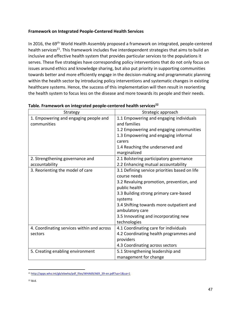## **Framework on Integrated People-Centered Health Services**

In 2016, the 69<sup>th</sup> World Health Assembly proposed a framework on integrated, people-centered health services<sup>21</sup>. This framework includes five interdependent strategies that aims to build an inclusive and effective health system that provides particular services to the populations it serves. These five strategies have corresponding policy interventions that do not only focus on issues around ethics and knowledge sharing, but also put priority in supporting communities towards better and more efficiently engage in the decision-making and programmatic planning within the health sector by introducing policy interventions and systematic changes in existing healthcare systems. Hence, the success of this implementation will then result in reorienting the health system to focus less on the disease and more towards its people and their needs.

| Strategy                                   | Strategic approach                            |
|--------------------------------------------|-----------------------------------------------|
| 1. Empowering and engaging people and      | 1.1 Empowering and engaging individuals       |
| communities                                | and families                                  |
|                                            | 1.2 Empowering and engaging communities       |
|                                            | 1.3 Empowering and engaging informal          |
|                                            | carers                                        |
|                                            | 1.4 Reaching the underserved and              |
|                                            | marginalized                                  |
| 2. Strengthening governance and            | 2.1 Bolstering participatory governance       |
| accountability                             | 2.2 Enhancing mutual accountability           |
| 3. Reorienting the model of care           | 3.1 Defining service priorities based on life |
|                                            | course needs                                  |
|                                            | 3.2 Revaluing promotion, prevention, and      |
|                                            | public health                                 |
|                                            | 3.3 Building strong primary care-based        |
|                                            | systems                                       |
|                                            | 3.4 Shifting towards more outpatient and      |
|                                            | ambulatory care                               |
|                                            | 3.5 Innovating and incorporating new          |
|                                            | technologies                                  |
| 4. Coordinating services within and across | 4.1 Coordinating care for individuals         |
| sectors                                    | 4.2 Coordinating health programmes and        |
|                                            | providers                                     |
|                                            | 4.3 Coordinating across sectors               |
| 5. Creating enabling environment           | 5.1 Strengthening leadership and              |
|                                            | management for change                         |

#### **Table. Framework on integrated people-centered health services<sup>22</sup>**

<sup>21</sup> [http://apps.who.int/gb/ebwha/pdf\\_files/WHA69/A69\\_39-en.pdf?ua=1&ua=1](http://apps.who.int/gb/ebwha/pdf_files/WHA69/A69_39-en.pdf?ua=1&ua=1)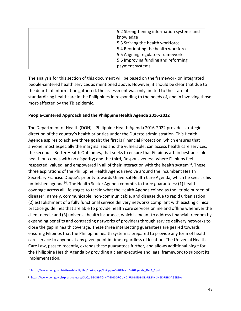| 5.2 Strengthening information systems and |
|-------------------------------------------|
| knowledge                                 |
| 5.3 Striving the health workforce         |
| 5.4 Reorienting the health workforce      |
| 5.5 Aligning regulatory frameworks        |
| 5.6 Improving funding and reforming       |
| payment systems                           |

The analysis for this section of this document will be based on the framework on integrated people-centered health services as mentioned above. However, it should be clear that due to the dearth of information gathered, the assessment was only limited to the state of standardizing healthcare in the Philippines in responding to the needs of, and in involving those most-affected by the TB epidemic.

### **People-Centered Approach and the Philippine Health Agenda 2016-2022**

The Department of Health (DOH)'s Philippine Health Agenda 2016-2022 provides strategic direction of the country's health priorities under the Duterte administration. This Health Agenda aspires to achieve three goals: the first is Financial Protection, which ensures that anyone, most especially the marginalized and the vulnerable, can access health care services; the second is Better Health Outcomes, that seeks to ensure that Filipinos attain best possible health outcomes with no disparity; and the third, Responsiveness, where Filipinos feel respected, valued, and empowered in all of their interaction with the health system<sup>23</sup>. These three aspirations of the Philippine Health Agenda revolve around the incumbent Health Secretary Franciso Duque's priority towards Universal Health Care Agenda, which he sees as his unfinished agenda<sup>24</sup>. The Health Sector Agenda commits to three guarantees: (1) health coverage across all life stages to tackle what the Health Agenda coined as the "triple burden of disease", namely, communicable, non-communicable, and disease due to rapid urbanization; (2) establishment of a fully functional service delivery networks compliant with existing clinical practice guidelines that are able to provide health care services online and offline whenever the client needs; and (3) universal health insurance, which is meant to address financial freedom by expanding benefits and contracting networks of providers through service delivery networks to close the gap in health coverage. These three intersecting guarantees are geared towards ensuring Filipinos that the Philippine health system is prepared to provide any form of health care service to anyone at any given point in time regardless of location. The Universal Health Care Law, passed recently, extends these guarantees further, and allows additional hinge for the Philippine Health Agenda by providing a clear executive and legal framework to support its implementation.

<sup>23</sup> [https://www.doh.gov.ph/sites/default/files/basic-page/Philippine%20Health%20Agenda\\_Dec1\\_1.pdf](https://www.doh.gov.ph/sites/default/files/basic-page/Philippine%20Health%20Agenda_Dec1_1.pdf)

<sup>24</sup> <https://www.doh.gov.ph/press-release/DUQUE-DOH-TO-HIT-THE-GROUND-RUNNING-ON-UNFINISHED-UHC-AGENDA>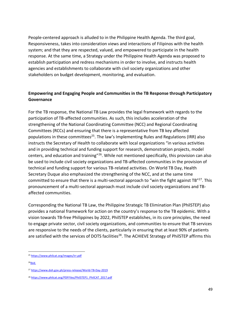People-centered approach is alluded to in the Philippine Health Agenda. The third goal, Responsiveness, takes into consideration views and interactions of Filipinos with the health system; and that they are respected, valued, and empowered to participate in the health response. At the same time, a Strategy under the Philippine Health Agenda was proposed to establish participation and redress mechanisms in order to involve, and instructs health agencies and establishments to collaborate with civil society organizations and other stakeholders on budget development, monitoring, and evaluation.

## **Empowering and Engaging People and Communities in the TB Response through Participatory Governance**

For the TB response, the National TB Law provides the legal framework with regards to the participation of TB-affected communities. As such, this includes acceleration of the strengthening of the National Coordinating Committee (NCC) and Regional Coordinating Committees (RCCs) and ensuring that there is a representative from TB key affected populations in these committees<sup>25</sup>. The law's Implementing Rules and Regulations (IRR) also instructs the Secretary of Health to collaborate with local organizations "in various activities and in providing technical and funding support for research, demonstration projects, model centers, and education and training"<sup>26</sup>. While not mentioned specifically, this provision can also be used to include civil society organizations and TB-affected communities in the provision of technical and funding support for various TB-related activities. On World TB Day, Health Secretary Duque also emphasized the strengthening of the NCC, and at the same time committed to ensure that there is a multi-sectoral approach to "win the fight against  $TB''^{27}$ . This pronouncement of a multi-sectoral approach must include civil society organizations and TBaffected communities.

Corresponding the National TB Law, the Philippine Strategic TB Elimination Plan (PhilSTEP) also provides a national framework for action on the country's response to the TB epidemic. With a vision towards TB-free Philippines by 2022, PhilSTEP establishes, in its core principles, the need to engage private sector, civil society organizations, and communities to ensure that TB services are responsive to the needs of the clients, particularly in ensuring that at least 90% of patients are satisfied with the services of DOTS facilities<sup>28</sup>. The ACHIEVE Strategy of PhilSTEP affirms this

<sup>25</sup> <https://www.philcat.org/images/irr.pdf>

 $26$ Ibid.

<sup>27</sup> <https://www.doh.gov.ph/press-release/World-TB-Day-2019>

<sup>&</sup>lt;sup>28</sup> [https://www.philcat.org/PDFFiles/PhilSTEP1\\_PhilCAT\\_2017.pdf](https://www.philcat.org/PDFFiles/PhilSTEP1_PhilCAT_2017.pdf)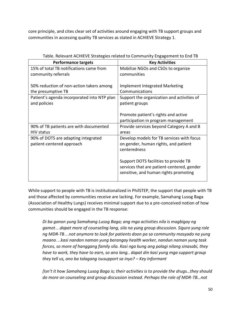core principle, and cites clear set of activities around engaging with TB support groups and communities in accessing quality TB services as stated in ACHIEVE Strategy 1.

| <b>Performance targets</b>                                       | <b>Key Activities</b>                                                                                                                                                                                                             |
|------------------------------------------------------------------|-----------------------------------------------------------------------------------------------------------------------------------------------------------------------------------------------------------------------------------|
| 15% of total TB notifications came from                          | Mobilize NGOs and CSOs to organize                                                                                                                                                                                                |
| community referrals                                              | communities                                                                                                                                                                                                                       |
| 50% reduction of non-action takers among<br>the presumptive TB   | <b>Implement Integrated Marketing</b><br>Communications                                                                                                                                                                           |
| Patient's agenda incorporated into NTP plan<br>and policies      | Support the organization and activities of<br>patient groups                                                                                                                                                                      |
|                                                                  | Promote patient's rights and active<br>participation in program management                                                                                                                                                        |
| 90% of TB patients are with documented<br><b>HIV status</b>      | Provide services beyond Category A and B<br>areas                                                                                                                                                                                 |
| 90% of DOTS are adapting integrated<br>patient-centered approach | Develop models for TB services with focus<br>on gender, human rights, and patient<br>centeredness<br>Support DOTS facilities to provide TB<br>services that are patient-centered, gender<br>sensitive, and human rights promoting |

| Table. Relevant ACHIEVE Strategies related to Community Engagement to End TB |  |
|------------------------------------------------------------------------------|--|
|------------------------------------------------------------------------------|--|

While support to people with TB is institutionalized in PhilSTEP, the support that people with TB and those affected by communities receive are lacking. For example, Samahang Lusog Baga (Association of Healthy Lungs) receives minimal support due to a pre-conceived notion of how communities should be engaged in the TB response:

*Di ba ganon yung Samahang Lusog Baga; ang mga activities nila is magbigay ng gamot…dapat more of counseling lang, sila na yung group discussion. Siguro yung role ng MDR-TB…not anymore to look for patients doon pa sa community masyado na yung maano…kasi nandon naman yung barangay health worker, nandun naman yung task forces, so more of hanggang family sila. Kasi nga kung ang palagi nilang sinasabi, they have to work, they have to earn, so ano lang.. dapat din kasi yung mga support group they tell us, ano ba talagang isusupport sa inyo? – Key Informant*

*[Isn't it how Samahang Lusog Baga is; their activities is to provide the drugs…they should do more on counseling and group discussion instead. Perhaps the role of MDR-TB…not*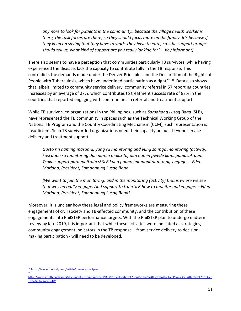*anymore to look for patients in the community…because the village health worker is there, the task forces are there, so they should focus more on the family. It's because if they keep on saying that they have to work, they have to earn, so…the support groups should tell us, what kind of support are you really looking for? – Key Informant]*

There also seems to have a perception that communities particularly TB survivors, while having experienced the disease, lack the capacity to contribute fully in the TB response. This contradicts the demands made under the Denver Principles and the Declaration of the Rights of People with Tuberculosis, which have underlined participation as a right<sup>29 30</sup>. Data also shows that, albeit limited to community service delivery, community referral in 57 reporting countries increases by an average of 27%, which contributes to treatment success rate of 87% in the countries that reported engaging with communities in referral and treatment support.

While TB survivor-led organizations in the Philippines, such as *Samahang Lusog Baga* (SLB), have represented the TB community in spaces such as the Technical Working Group of the National TB Program and the Country Coordinating Mechanism (CCM), such representation is insufficient. Such TB survivor-led organizations need their capacity be built beyond service delivery and treatment support.

*Gusto rin naming masama, yung sa monitoring and yung sa mga monitoring (activity), kasi doon sa monitoring dun namin makikita, dun namin pwede kami pumasok dun. Tsaka support para maitrain si SLB kung paano imomonitor at mag-engage. – Eden Mariano, President, Samahan ng Lusog Baga*

*[We want to join the monitoring, and in the monitoring (activity) that is where we see that we can really engage. And support to train SLB how to monitor and engage. – Eden Mariano, President, Samahan ng Lusog Baga]* 

Moreover, it is unclear how these legal and policy frameworks are measuring these engagements of civil society and TB-affected community, and the contribution of these engagements into PhilSTEP performance targets. With the PhilSTEP plan to undergo midterm review by late 2019, it is important that while these activities were indicated as strategies, community engagement indicators in the TB response – from service delivery to decisionmaking participation - will need to be developed.

30

<sup>29</sup> <https://www.thebody.com/article/denver-principles>

[http://www.stoptb.org/assets/documents/communities/FINAL%20Declaration%20on%20the%20Right%20of%20People%20Affected%20by%20](http://www.stoptb.org/assets/documents/communities/FINAL%20Declaration%20on%20the%20Right%20of%20People%20Affected%20by%20TB%2013.05.2019.pdf) [TB%2013.05.2019.pdf](http://www.stoptb.org/assets/documents/communities/FINAL%20Declaration%20on%20the%20Right%20of%20People%20Affected%20by%20TB%2013.05.2019.pdf)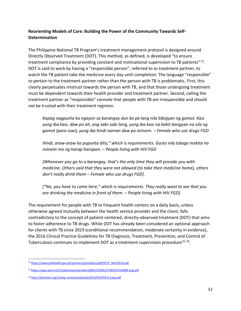## **Reorienting Models of Care: Building the Power of the Community Towards Self-Determination**

The Philippine National TB Program's treatment management protocol is designed around Directly Observed Treatment (DOT). This method, as defined, is developed "to ensure treatment compliance by providing constant and motivational supervision to TB patients" 31. DOT is said to work by having a "responsible person", referred to as treatment partner, to watch the TB patient take the medicine every day until completion. The language "responsible" to pertain to the treatment partner rather than the person with TB is problematic. First, this clearly perpetuates mistrust towards the person with TB, and that those undergoing treatment must be dependent towards their health provider and treatment partner. Second, calling the treatment partner as "responsible" connote that people with TB are irresponsible and should not be trusted with their treatment regimen.

*Kapag nagpunta ka ngayon sa barangay dun ka pa lang nila bibigyan ng gamot. Kasi yung iba kasi, daw po ah, ang sabi-sabi lang, yung iba kasi na kahit binigyan na sila ng gamot (para iuwi), yung iba hindi naman daw po iniinom. – Female who use drugs FGD*

*Hindi, araw-araw ka pupunta dito," which is requirements. Gusto nila talaga makita na iniinom mo ng harap-harapan. – People living with HIV FGD*

*[Whenever you go to a barangay, that's the only time they will provide you with medicine. Others said that they were not allowed (to take their medicine home), others don't really drink them – Female who use drugs FGD].*

*["No, you have to come here," which is requirements. They really want to see that you are drinking the medicine in front of them. – People living with HIV FGD]*

The requirement for people with TB to frequent health centers on a daily basis, unless otherwise agreed mutually between the health service provider and the client, falls contradictory to the concept of patient-centered, directly-observed treatment (DOT) that aims to foster adherence to TB drugs. While DOT has already been considered an optional approach for clients with TB since 2019 (conditional recommendation, moderate certainty in evidence), the 2016 Clinical Practice Guidelines for TB Diagnosis, Treatment, Prevention, and Control of Tuberculosis continues to implement DOT as a treatment supervision procedure<sup>32 33</sup>.

<sup>31</sup> [https://www.philhealth.gov.ph/partners/providers/pdf/NTCP\\_MoP2014.pdf](https://www.philhealth.gov.ph/partners/providers/pdf/NTCP_MoP2014.pdf)

<sup>32</sup> <https://apps.who.int/iris/bitstream/handle/10665/255052/9789241550000-eng.pdf>

<sup>33</sup> <http://philchest.org/v3/wp-content/uploads/2013/05/CPG-E-copy.pdf>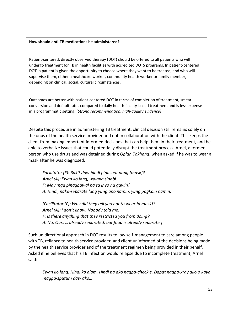#### **How should anti-TB medications be administered?**

Patient-centered, directly observed therapy (DOT) should be offered to all patients who will undergo treatment for TB in health facilities with accredited DOTS programs. In patient-centered DOT, a patient is given the opportunity to choose where they want to be treated, and who will supervise them, either a healthcare worker, community health worker or family member, depending on clinical, social, cultural circumstances.

Outcomes are better with patient-centered DOT in terms of completion of treatment, smear conversion and default rates compared to daily health facility-based treatment and is less expense in a programmatic setting. (*Strong recommendation, high-quality evidence)*

Despite this procedure in administering TB treatment, clinical decision still remains solely on the onus of the health service provider and not in collaboration with the client. This keeps the client from making important informed decisions that can help them in their treatment, and be able to verbalize issues that could potentially disrupt the treatment process. Arnel, a former person who use drugs and was detained during *Oplan Tokhang*, when asked if he was to wear a mask after he was diagnosed:

*Facilitator (F): Bakit daw hindi pinasuot nang [mask]? Arnel (A): Ewan ko lang, walang sinabi. F: May mga pinagbawal ba sa inyo na gawin? A: Hindi, naka-separate lang yung ano namin, yung pagkain namin.*

*[Facilitator (F): Why did they tell you not to wear {a mask}? Arnel (A): I don't know. Nobody told me. F: Is there anything that they restricted you from doing? A: No. Ours is already separated, our food is already separate.]*

Such unidirectional approach in DOT results to low self-management to care among people with TB, reliance to health service provider, and client uninformed of the decisions being made by the health service provider and of the treatment regimen being provided in their behalf. Asked if he believes that his TB infection would relapse due to incomplete treatment, Arnel said:

*Ewan ko lang. Hindi ko alam. Hindi pa ako nagpa-check e. Dapat nagpa-xray ako o kaya magpa-sputum daw ako…*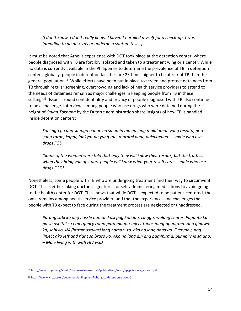*[I don't know. I don't really know. I haven't enrolled myself for a check-up. I was intending to do an x-ray or undergo a sputum test…]*

It must be noted that Arnel's experience with DOT took place at the detention center, where people diagnosed with TB are forcibly isolated and taken to a treatment wing or a center. While no data is currently available in the Philippines to determine the prevalence of TB in detention centers, globally, people in detention facilities are 23 times higher to be at risk of TB than the general population<sup>34</sup>. While efforts have been put in place to screen and protect detainees from TB through regular screening, overcrowding and lack of health service providers to attend to the needs of detainees remain as major challenges in keeping people from TB in these settings<sup>35</sup>. Issues around confidentiality and privacy of people diagnosed with TB also continue to be a challenge. Interviews among people who use drugs who were detained during the height of *Oplan Tokhang* by the Duterte administration share insights of how TB is handled inside detention centers:

*Sabi nga po dun sa mga babae na sa amin mo na lang malalaman yung resulta, pero yung totoo, kapag inakyat na yung tao, marami nang nakakaalam. – male who use drugs FGD*

*[Some of the women were told that only they will know their results, but the truth is, when they bring you upstairs, people will know what your results are. – male who use drugs FGD]*

Nonetheless, some people with TB who are undergoing treatment find their way to circumvent DOT. This is either faking doctor's signatures, or self-administering medications to avoid going to the health center for DOT. This shows that while DOT is expected to be patient-centered, the onus remains among health service provider, and that the experiences and challenges that people with TB expect to face during the treatment process are neglected or unaddressed.

*Parang sabi ko ang hassle naman kasi pag Sabado, Linggo, walang center. Pupunta ka pa sa ospital sa emergency room para magpa-inject tapos magpapapirma. Ang ginawa ko, sabi ko, IM (intramuscular) lang naman 'to, ako na lang gagawa. Everyday, nagiinject ako left and right sa braso ko. Ako na lang din ang pumipirma, pumipirma sa ano. – Male living with with HIV FGD*

<sup>34</sup> [http://www.stoptb.org/assets/documents/resources/publications/acsm/kp\\_prisoners\\_spreads.pdf](http://www.stoptb.org/assets/documents/resources/publications/acsm/kp_prisoners_spreads.pdf)

<sup>35</sup> <https://www.icrc.org/en/document/philippines-fighting-tb-detention-places-0>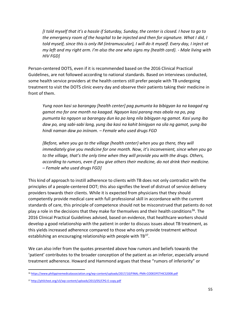*[I told myself that it's a hassle if Saturday, Sunday, the center is closed. I have to go to the emergency room of the hospital to be injected and then for signature. What I did, I told myself, since this is only IM (intramuscular), I will do it myself. Every day, I inject at my left and my right arm. I'm also the one who signs my {health card}. - Male living with HIV FGD]*

Person-centered DOTS, even if it is recommended based on the 2016 Clinical Practical Guidelines, are not followed according to national standards. Based on interviews conducted, some health service providers at the health centers still prefer people with TB undergoing treatment to visit the DOTS clinic every day and observe their patients taking their medicine in front of them.

*Yung noon kasi sa barangay [health center] pag pumunta ka bibigyan ka na kaagad ng gamot mo for one month na kaagad. Ngayon kasi parang mas abala na po, pag pumunta ka ngayon sa barangay dun ka pa lang nila bibigyan ng gamot. Kasi yung iba daw po, ang sabi-sabi lang, yung iba kasi na kahit binigyan na sila ng gamot, yung iba hindi naman daw po iniinom. – Female who used drugs FGD*

*[Before, when you go to the village {health center} when you go there, they will immediately give you medicine for one month. Now, it's inconvenient, since when you go to the village, that's the only time when they will provide you with the drugs. Others, according to rumors, even if you give others their medicine, do not drink their medicine. – Female who used drugs FGD]*

This kind of approach to instill adherence to clients with TB does not only contradict with the principles of a people-centered DOT; this also signifies the level of distrust of service delivery providers towards their clients. While it is expected from physicians that they should competently provide medical care with full professional skill in accordance with the current standards of care, this principle of competence should not be misconstrued that patients do not play a role in the decisions that they make for themselves and their health conditions<sup>36</sup>. The 2016 Clinical Practical Guidelines advised, based on evidence, that healthcare workers should develop a good relationship with the patient in order to discuss issues about TB treatment, as this yields increased adherence compared to those who only provide treatment without establishing an encouraging relationship with people with TB<sup>37</sup>.

We can also infer from the quotes presented above how rumors and beliefs towards the 'patient' contributes to the broader conception of the patient as an inferior, especially around treatment adherence. Howard and Hammond argues that these "rumors of inferiority" or

<sup>36</sup> <https://www.philippinemedicalassociation.org/wp-content/uploads/2017/10/FINAL-PMA-CODEOFETHICS2008.pdf>

<sup>37</sup> <http://philchest.org/v3/wp-content/uploads/2013/05/CPG-E-copy.pdf>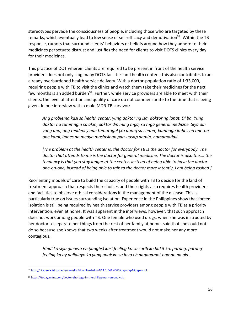stereotypes pervade the consciousness of people, including those who are targeted by these remarks, which eventually lead to low sense of self-efficacy and demotivation<sup>38</sup>. Within the TB response, rumors that surround clients' behaviors or beliefs around how they adhere to their medicines perpetuate distrust and justifies the need for clients to visit DOTS clinics every day for their medicines.

This practice of DOT wherein clients are required to be present in front of the health service providers does not only clog many DOTS facilities and health centers; this also contributes to an already overburdened health service delivery. With a doctor-population ratio of 1:33,000, requiring people with TB to visit the clinics and watch them take their medicines for the next few months is an added burden<sup>39</sup>. Further, while service providers are able to meet with their clients, the level of attention and quality of care do not commensurate to the time that is being given. In one interview with a male MDR-TB survivor:

*Ang problema kasi sa health center, yung doktor ng isa, doktor ng lahat. Di ba. Yung doktor na tumitingin sa akin, doktor din nung mga, sa mga general medicine. Siya din yung ano; ang tendency nun tumatagal [ka doon] sa center, kumbaga imbes na one-onone kami, imbes na medyo masinsinan pag-uusap namin, namamadali.*

*[The problem at the health center is, the doctor for TB is the doctor for everybody. The doctor that attends to me is the doctor for general medicine. The doctor is also the…; the tendency is that you stay longer at the center, instead of being able to have the doctor one-on-one, instead of being able to talk to the doctor more intently, I am being rushed.]*

Reorienting models of care to build the capacity of people with TB to decide for the kind of treatment approach that respects their choices and their rights also requires health providers and facilities to observe ethical considerations in the management of the disease. This is particularly true on issues surrounding isolation. Experience in the Philippines show that forced isolation is still being required by health service providers among people with TB as a priority intervention, even at home. It was apparent in the interviews, however, that such approach does not work among people with TB. One female who used drugs, when she was instructed by her doctor to separate her things from the rest of her family at home, said that she could not do so because she knows that two weeks after treatment would not make her any more contagious.

*Hindi ko siya ginawa eh (laughs) kasi feeling ko sa sarili ko bakit ko, parang, parang feeling ko ay nailalayo ko yung anak ko sa inyo eh nagagamot naman na ako.*

<sup>38</sup> <http://citeseerx.ist.psu.edu/viewdoc/download?doi=10.1.1.544.4560&rep=rep1&type=pdf>

<sup>39</sup> <https://today.mims.com/doctor-shortage-in-the-philippines--an-analysis>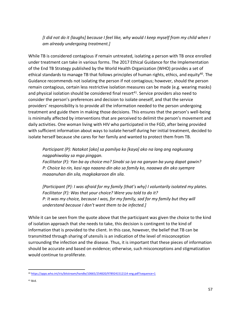*[I did not do it {laughs] because I feel like, why would I keep myself from my child when I am already undergoing treatment.]*

While TB is considered contagious if remain untreated, isolating a person with TB once enrolled under treatment can take in various forms. The 2017 Ethical Guidance for the Implementation of the End TB Strategy published by the World Health Organization (WHO) provides a set of ethical standards to manage TB that follows principles of human rights, ethics, and equity<sup>40</sup>. The Guidance recommends not isolating the person if not contagious; however, should the person remain contagious, certain less restrictive isolation measures can be made (e.g. wearing masks) and physical isolation should be considered final resort $41$ . Service providers also need to consider the person's preferences and decision to isolate oneself, and that the service providers' responsibility is to provide all the information needed to the person undergoing treatment and guide them in making those decisions. This ensures that the person's well-being is minimally affected by interventions that are perceived to delimit the person's movement and daily activities. One woman living with HIV who participated in the FGD, after being provided with sufficient information about ways to isolate herself during her initial treatment, decided to isolate herself because she cares for her family and wanted to protect them from TB.

## *Participant (P): Natakot [ako] sa pamilya ko [kaya] ako na lang ang nagkusang nagpahiwalay sa mga pinggan.*

*Facilitator (F): Yan ba ay choice mo? Sinabi sa iyo na ganyan ba yung dapat gawin? P: Choice ko rin, kasi nga naaano din ako sa family ko, naaawa din ako syempre maaanuhan din sila, magkakaroon din sila.*

*[Participant {P}: I was afraid for my family {that's why} I voluntarily isolated my plates. Facilitator {F}: Was that your choice? Were you told to do it? P: It was my choice, because I was, for my family, sad for my family but they will understand because I don't want them to be infected.]*

While it can be seen from the quote above that the participant was given the choice to the kind of isolation approach that she needs to take, this decision is contingent to the kind of information that is provided to the client. In this case, however, the belief that TB can be transmitted through sharing of utensils is an indication of the level of misconception surrounding the infection and the disease. Thus, it is important that these pieces of information should be accurate and based on evidence; otherwise, such misconceptions and stigmatization would continue to proliferate.

<sup>40</sup> <https://apps.who.int/iris/bitstream/handle/10665/254820/9789241512114-eng.pdf?sequence=1>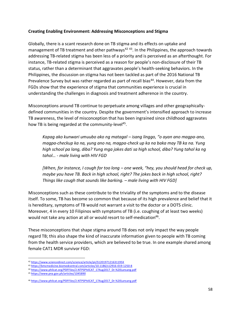## **Creating Enabling Environment: Addressing Misconceptions and Stigma**

Globally, there is a scant research done on TB stigma and its effects on uptake and management of TB treatment and other pathways<sup>42 43</sup>. In the Philippines, the approach towards addressing TB-related stigma has been less of a priority and is perceived as an afterthought. For instance, TB-related stigma is perceived as a reason for people's non-disclosure of their TB status, rather than a determinant that aggravates people's health-seeking behaviors. In the Philippines, the discussion on stigma has not been tackled as part of the 2016 National TB Prevalence Survey but was rather regarded as part of recall bias<sup>44</sup>. However, data from the FGDs show that the experience of stigma that communities experience is crucial in understanding the challenges in diagnosis and treatment adherence in the country.

Misconceptions around TB continue to perpetuate among villages and other geographicallydefined communities in the country. Despite the government's intensified approach to increase TB awareness, the level of misconception that has been ingrained since childhood aggravates how TB is being regarded at the community-level<sup>45</sup>.

*Kapag ako kunwari umuubo ako ng matagal – isang linggo, "o ayan ano magpa-ano, magpa-checkup ka na, yung ano na, magpa-check up ka na baka may TB ka na. Yung high school pa lang, diba? Yung mga jokes dati sa high school, diba? Yung tahol ka ng tahol… - male living with HIV FGD*

*[When, for instance, I cough for too long – one week, "hey, you should head for check up, maybe you have TB. Back in high school, right? The jokes back in high school, right? Things like cough that sounds like barking. – male living with HIV FGD]*

Misconceptions such as these contribute to the triviality of the symptoms and to the disease itself. To some, TB has become so common that because of its high prevalence and belief that it is hereditary, symptoms of TB would not warrant a visit to the doctor or a DOTS clinic. Moreover, 4 in every 10 Filipinos with symptoms of TB (i.e. coughing of at least two weeks) would not take any action at all or would resort to self-medication $46$ .

These misconceptions that shape stigma around TB does not only impact the way people regard TB; this also shape the kind of inaccurate information given to people with TB coming from the health service providers, which are believed to be true. In one example shared among female CAT1 MDR survivor FGD:

<sup>42</sup> <https://www.sciencedirect.com/science/article/pii/S120197121631195X>

<sup>43</sup> <https://bmcmedicine.biomedcentral.com/articles/10.1186/s12916-019-1250-8>

<sup>44</sup> [https://www.philcat.org/PDFFiles/2.NTPSPhilCAT\\_17Aug2017\\_Dr.%20Lansang.pdf](https://www.philcat.org/PDFFiles/2.NTPSPhilCAT_17Aug2017_Dr.%20Lansang.pdf)

<sup>45</sup> <https://www.pna.gov.ph/articles/1045890>

<sup>46</sup> [https://www.philcat.org/PDFFiles/2.NTPSPhilCAT\\_17Aug2017\\_Dr.%20Lansang.pdf](https://www.philcat.org/PDFFiles/2.NTPSPhilCAT_17Aug2017_Dr.%20Lansang.pdf)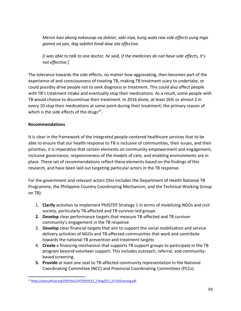*Meron kasi akong nakausap na doktor, sabi niya, kung wala raw side effects yung mga gamot na yan, ibig sabihin hindi daw sila effective.*

*[I was able to talk to one doctor, he said, if the medicines do not have side effects, it's not effective.]*

The tolerance towards the side effects, no matter how aggravating, then becomes part of the experience of and consciousness of treating TB, making TB treatment scary to undertake, or could possibly drive people not to seek diagnosis or treatment. This could also affect people with TB's treatment intake and eventually stop their medications. As a result, some people with TB would choose to discontinue their treatment. In 2016 alone, at least 16% or almost 2 in every 10 stop their medications at some point during their treatment; the primary reason of which is the side effects of the drugs<sup>47</sup>.

## **Recommendations**

It is clear in the framework of the integrated people-centered healthcare services that to be able to ensure that our health response to TB is inclusive of communities, their issues, and their priorities, it is imperative that certain elements on community empowerment and engagement, inclusive governance, responsiveness of the models of care, and enabling environments are in place. These set of recommendations reflect these elements based on the findings of this research, and have been laid out targeting particular actors in the TB response.

For the government and relevant actors (this includes the Department of Health National TB Programme, the Philippine Country Coordinating Mechanism, and the Technical Working Group on TB):

- 1. **Clarify** activities to implement PhilSTEP Strategy 1 in terms of mobilizing NGOs and civil society, particularly TB-affected and TB survivor-led groups
- **2. Develop** clear performance targets that measure TB-affected and TB survivor community's engagement in the TB response
- 3. **Develop** clear financial targets that aim to support the social mobilization and service delivery activities of NGOs and TB-affected communities that work and contribute towards the national TB prevention and treatment targets
- 4. **Create** a financing mechanism that supports TB support groups to participate in the TB program beyond volunteer support. This includes outreach, referral, and communitybased screening.
- **5. Provide** at least one seat to TB-affected community representation in the National Coordinating Committee (NCC) and Provincial Coordinating Committees (PCCs).

<sup>47</sup> [https://www.philcat.org/PDFFiles/2.NTPSPhilCAT\\_17Aug2017\\_Dr.%20Lansang.pdf](https://www.philcat.org/PDFFiles/2.NTPSPhilCAT_17Aug2017_Dr.%20Lansang.pdf)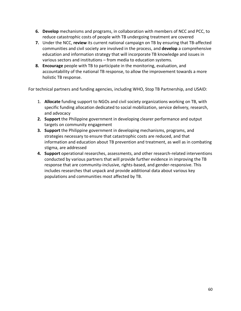- **6. Develop** mechanisms and programs, in collaboration with members of NCC and PCC, to reduce catastrophic costs of people with TB undergoing treatment are covered
- **7.** Under the NCC, **review** its current national campaign on TB by ensuring that TB-affected communities and civil society are involved in the process, and **develop** a comprehensive education and information strategy that will incorporate TB knowledge and issues in various sectors and institutions – from media to education systems.
- **8. Encourage** people with TB to participate in the monitoring, evaluation, and accountability of the national TB response, to allow the improvement towards a more holistic TB response.

For technical partners and funding agencies, including WHO, Stop TB Partnership, and USAID:

- 1. **Allocate** funding support to NGOs and civil society organizations working on TB, with specific funding allocation dedicated to social mobilization, service delivery, research, and advocacy
- **2. Support** the Philippine government in developing clearer performance and output targets on community engagement
- **3. Support** the Philippine government in developing mechanisms, programs, and strategies necessary to ensure that catastrophic costs are reduced, and that information and education about TB prevention and treatment, as well as in combating stigma, are addressed
- **4. Support** operational researches, assessments, and other research-related interventions conducted by various partners that will provide further evidence in improving the TB response that are community-inclusive, rights-based, and gender-responsive. This includes researches that unpack and provide additional data about various key populations and communities most affected by TB.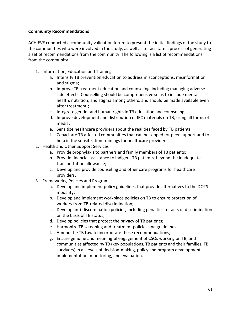## **Community Recommendations**

ACHIEVE conducted a community validation forum to present the initial findings of the study to the communities who were involved in the study, as well as to facilitate a process of generating a set of recommendations from the community. The following is a list of recommendations from the community.

- 1. Information, Education and Training
	- a. Intensify TB prevention education to address misconceptions, misinformation and stigma;
	- b. Improve TB treatment education and counseling, including managing adverse side effects. Counselling should be comprehensive so as to include mental health, nutrition, and stigma among others, and should be made available even after treatment.;
	- c. Integrate gender and human rights in TB education and counseling;
	- d. Improve development and distribution of IEC materials on TB, using all forms of media;
	- e. Sensitize healthcare providers about the realities faced by TB patients.
	- f. Capacitate TB affected communities that can be tapped for peer support and to help in the sensitization trainings for healthcare providers.
- 2. Health and Other Support Services
	- a. Provide prophylaxis to partners and family members of TB patients;
	- b. Provide financial assistance to indigent TB patients, beyond the inadequate transportation allowance;
	- c. Develop and provide counseling and other care programs for healthcare providers.
- 3. Frameworks, Policies and Programs
	- a. Develop and implement policy guidelines that provide alternatives to the DOTS modality;
	- b. Develop and implement workplace policies on TB to ensure protection of workers from TB-related discrimination;
	- c. Develop anti-discrimination policies, including penalties for acts of discrimination on the basis of TB status;
	- d. Develop policies that protect the privacy of TB patients;
	- e. Harmonize TB screening and treatment policies and guidelines.
	- f. Amend the TB Law to incorporate these recommendations;
	- g. Ensure genuine and meaningful engagement of CSOs working on TB, and communities affected by TB (key populations, TB patients and their families, TB survivors) in all levels of decision-making, policy and program development, implementation, monitoring, and evaluation.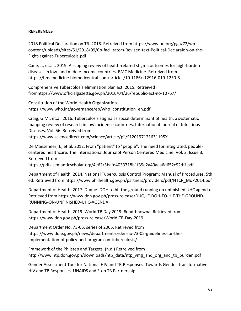### **REFERENCES**

2018 Political Declaration on TB. 2018. Retreived from https://www.un.org/pga/72/wpcontent/uploads/sites/51/2018/09/Co-facilitators-Revised-text-Political-Declaraion-on-the-Fight-against-Tuberculosis.pdf

Cane, J., et.al., 2019. A scoping review of health-related stigma outcomes for high-burden diseases in low- and middle-income countries. BMC Medicine. Retreived from https://bmcmedicine.biomedcentral.com/articles/10.1186/s12916-019-1250-8

Comprehensive Tubercolosis elimination plan act. 2015. Retreived fromhttps://www.officialgazette.gov.ph/2016/04/26/republic-act-no-10767/

Constitution of the World Health Organization. https://www.who.int/governance/eb/who\_constitution\_en.pdf

Craig, G.M., et.al. 2016. Tuberculosis stigma as social determinant of health: a systematic mapping review of research in low incidence countries. International Journal of Infectious Diseases. Vol. 56. Retreived from https://www.sciencedirect.com/science/article/pii/S120197121631195X

De Maeseneer, J., et.al. 2012. From "patient" to "people": The need for integrated, peoplecentered healthcare. The International Journalof Person Centered Medicine. Vol. 2, Issue 3. Retrieved from

https://pdfs.semanticscholar.org/4e62/3bafd4033718b1f39e2a49aaa6d652c92dff.pdf

Department of Health. 2014. National Tuberculosis Control Program: Manual of Procedures. 5th ed. Retrieved from https://www.philhealth.gov.ph/partners/providers/pdf/NTCP\_MoP2014.pdf

Department of Health. 2017. Duque: DOH to hit the ground running on unfinished UHC agenda. Retrieved from https://www.doh.gov.ph/press-release/DUQUE-DOH-TO-HIT-THE-GROUND-RUNNING-ON-UNFINISHED-UHC-AGENDA

Department of Health. 2019. World TB Day 2019: #endtbnowna. Retrieved from https://www.doh.gov.ph/press-release/World-TB-Day-2019

Department Order No. 73-05, series of 2005. Retrieved from https://www.dole.gov.ph/news/department-order-no-73-05-guidelines-for-theimplementation-of-policy-and-program-on-tuberculosis/

Framework of the Philstep and Targets. (n.d.) Retreived from http://www.ntp.doh.gov.ph/downloads/ntp\_data/ntp\_vmg\_and\_org\_and\_tb\_burden.pdf

Gender Assessment Tool for National HIV and TB Responses: Towards Gender-transformative HIV and TB Responses. UNAIDS and Stop TB Partnership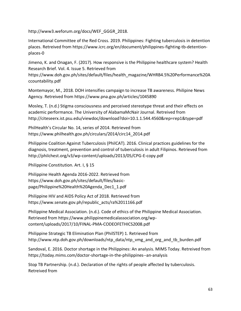http://www3.weforum.org/docs/WEF\_GGGR\_2018.

International Committee of the Red Cross. 2019. Philippines: Fighting tuberculosis in detention places. Retreived from https://www.icrc.org/en/document/philippines-fighting-tb-detentionplaces-0

Jimeno, K. and Onagan, F. (2017). How responsive is the Philippine healthcare system? Health Research Brief. Vol. 4. Issue 5. Retrieved from

https://www.doh.gov.ph/sites/default/files/health\_magazine/WHRB4.5%20Performance%20A ccountability.pdf

Montemayor, M., 2018. DOH intensifies campaign to increase TB awareness. Philipine News Agency. Retreived from https://www.pna.gov.ph/articles/1045890

Mosley, T. (n.d.) Stigma consciousness and perceived stereotype threat and their effects on academic performance. The University of AlabamaMcNair Journal. Retreived from http://citeseerx.ist.psu.edu/viewdoc/download?doi=10.1.1.544.4560&rep=rep1&type=pdf

PhilHealth's Circular No. 14, series of 2014. Retrieved from https://www.philhealth.gov.ph/circulars/2014/circ14\_2014.pdf

Philippine Coalition Against Tuberculosis (PhilCAT). 2016. Clinical practices guidelines for the diagnosis, treatment, prevention and control of tuberculosis in adult Filipinos. Retrieved from http://philchest.org/v3/wp-content/uploads/2013/05/CPG-E-copy.pdf

Philippine Constitution. Art. I, § 15

Philippine Health Agenda 2016-2022. Retrieved from https://www.doh.gov.ph/sites/default/files/basicpage/Philippine%20Health%20Agenda\_Dec1\_1.pdf

Philippine HIV and AIDS Policy Act of 2018. Retrieved from https://www.senate.gov.ph/republic\_acts/ra%2011166.pdf

Philippine Medical Association. (n.d.). Code of ethics of the Philippine Medical Association. Retrieved from https://www.philippinemedicalassociation.org/wpcontent/uploads/2017/10/FINAL-PMA-CODEOFETHICS2008.pdf

Philippine Strategic TB Elimination Plan (PhilSTEP) 1. Retrieved from http://www.ntp.doh.gov.ph/downloads/ntp\_data/ntp\_vmg\_and\_org\_and\_tb\_burden.pdf

Sandoval, E. 2016. Doctor shortage in the Philippines: An analysis. MIMS Today. Retreived from https://today.mims.com/doctor-shortage-in-the-philippines--an-analysis

Stop TB Partnership. (n.d.). Declaration of the rights of people affected by tuberculosis. Retreived from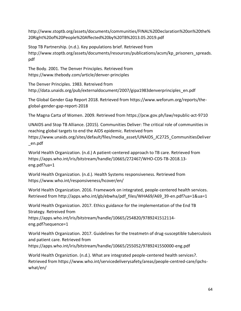http://www.stoptb.org/assets/documents/communities/FINAL%20Declaration%20on%20the% 20Right%20of%20People%20Affected%20by%20TB%2013.05.2019.pdf

Stop TB Partnership. (n.d.). Key populations brief. Retrieved from http://www.stoptb.org/assets/documents/resources/publications/acsm/kp\_prisoners\_spreads. pdf

The Body. 2001. The Denver Principles. Retrieved from https://www.thebody.com/article/denver-principles

The Denver Principles. 1983. Retreived from http://data.unaids.org/pub/externaldocument/2007/gipa1983denverprinciples\_en.pdf

The Global Gender Gap Report 2018. Retrieved from https://www.weforum.org/reports/theglobal-gender-gap-report-2018

The Magna Carta of Women. 2009. Retrieved from https://pcw.gov.ph/law/republic-act-9710

UNAIDS and Stop TB Alliance. (2015). Communities Deliver: The critical role of communities in reaching global targets to end the AIDS epidemic. Retreived from https://www.unaids.org/sites/default/files/media\_asset/UNAIDS\_JC2725\_CommunitiesDeliver \_en.pdf

World Health Organization. (n.d.) A patient-centered approach to TB care. Retrieved from https://apps.who.int/iris/bitstream/handle/10665/272467/WHO-CDS-TB-2018.13 eng.pdf?ua=1

World Health Organization. (n.d.). Health Systems responsiveness. Retrieved from https://www.who.int/responsiveness/hcover/en/

World Health Organization. 2016. Framework on integrated, people-centered health services. Retrieved from http://apps.who.int/gb/ebwha/pdf\_files/WHA69/A69\_39-en.pdf?ua=1&ua=1

World Health Organization. 2017. Ethics guidance for the implementation of the End TB Strategy. Retreived from

https://apps.who.int/iris/bitstream/handle/10665/254820/9789241512114 eng.pdf?sequence=1

World Health Organization. 2017. Guidelines for the treatmetn of drug-susceptible tuberculosis and patient care. Retrieved from https://apps.who.int/iris/bitstream/handle/10665/255052/9789241550000-eng.pdf

World Health Organiztion. (n.d.). What are integrated people-centered health services?. Retrieved from https://www.who.int/servicedeliverysafety/areas/people-centred-care/ipchswhat/en/